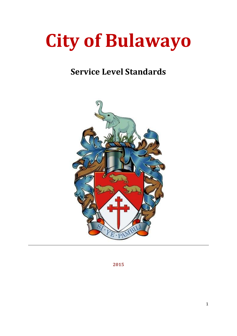# City of Bulawayo

# Service Level Standards



2015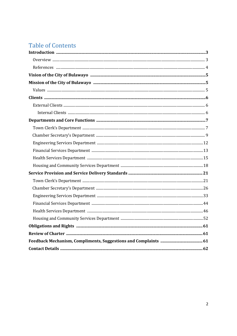# **Table of Contents**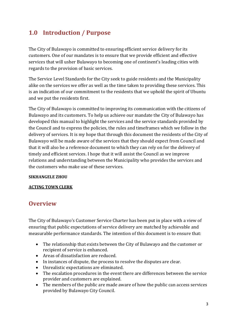## 1.0 Introduction / Purpose

The City of Bulawayo is committed to ensuring efficient service delivery for its customers. One of our mandates is to ensure that we provide efficient and effective services that will usher Bulawayo to becoming one of continent's leading cities with regards to the provision of basic services.

The Service Level Standards for the City seek to guide residents and the Municipality alike on the services we offer as well as the time taken to providing these services. This is an indication of our commitment to the residents that we uphold the spirit of Ubuntu and we put the residents first.

The City of Bulawayo is committed to improving its communication with the citizens of Bulawayo and its customers. To help us achieve our mandate the City of Bulawayo has developed this manual to highlight the services and the service standards provided by the Council and to express the policies, the rules and timeframes which we follow in the delivery of services. It is my hope that through this document the residents of the City of Bulawayo will be made aware of the services that they should expect from Council and that it will also be a reference document to which they can rely on for the delivery of timely and efficient services. I hope that it will assist the Council as we improve relations and understanding between the Municipality who provides the services and the customers who make use of these services.

#### SIKHANGELE ZHOU

#### ACTING TOWN CLERK

## **Overview**

The City of Bulawayo's Customer Service Charter has been put in place with a view of ensuring that public expectations of service delivery are matched by achievable and measurable performance standards. The intention of this document is to ensure that:

- The relationship that exists between the City of Bulawayo and the customer or recipient of service is enhanced.
- Areas of dissatisfaction are reduced.
- In instances of dispute, the process to resolve the disputes are clear.
- Unrealistic expectations are eliminated.
- The escalation procedures in the event there are differences between the service provider and customers are explained.
- The members of the public are made aware of how the public can access services provided by Bulawayo City Council.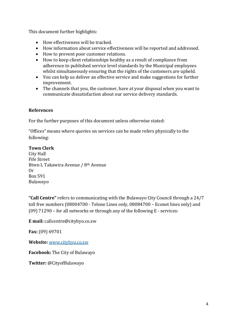This document further highlights:

- How effectiveness will be tracked.
- How information about service effectiveness will be reported and addressed.
- How to prevent poor customer relations.
- How to keep client relationships healthy as a result of compliance from adherence to published service level standards by the Municipal employees whilst simultaneously ensuring that the rights of the customers are upheld.
- You can help us deliver an effective service and make suggestions for further improvement.
- The channels that you, the customer, have at your disposal when you want to communicate dissatisfaction about our service delivery standards.

#### References

For the further purposes of this document unless otherwise stated:

"Offices" means where queries on services can be made refers physically to the following:

#### Town Clerk

City Hall Fife Street Btwn L Takawira Avenue / 8th Avenue Or Box 591 Bulawayo

"Call Centre" refers to communicating with the Bulawayo City Council through a 24/7 toll free numbers (08004700 - Telone Lines only, 08084700 – Econet lines only) and (09) 71290 – for all networks or through any of the following E - services:

E mail: callcentre@citybyo.co.zw

Fax: (09) 69701

Website: [www.citybyo.co.zw](http://www.citybyo.co.zw/)

Facebook: The City of Bulawayo

Twitter: @CityofBulawayo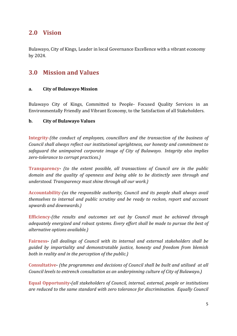## 2.0 Vision

Bulawayo, City of Kings, Leader in local Governance Excellence with a vibrant economy by 2024.

## 3.0 Mission and Values

#### a. City of Bulawayo Mission

Bulawayo City of Kings, Committed to People- Focused Quality Services in an Environmentally Friendly and Vibrant Economy, to the Satisfaction of all Stakeholders.

#### b. City of Bulawayo Values

Integrity-*(the conduct of employees, councillors and the transaction of the business of Council shall always reflect our institutional uprightness, our honesty and commitment to safeguard the unimpaired corporate image of City of Bulawayo. Integrity also implies zero-tolerance to corrupt practices.)*

Transparency- *(to the extent possible, all transactions of Council are in the public domain and the quality of openness and being able to be distinctly seen through and understood. Transparency must shine through all our work.)*

Accountability*-(as the responsible authority, Council and its people shall always avail themselves to internal and public scrutiny and be ready to reckon, report and account upwards and downwards.)*

Efficiency*-(the results and outcomes set out by Council must be achieved through adequately energized and robust systems. Every effort shall be made to pursue the best of alternative options available.)*

Fairness- *(all dealings of Council with its internal and external stakeholders shall be guided by impartiality and demonstratable justice, honesty and freedom from blemish both in reality and in the perception of the public.)*

Consultative- *(the programmes and decisions of Council shall be built and utilised at all Council levels to entrench consultation as an underpinning culture of City of Bulawayo.)*

Equal Opportunity-*(all stakeholders of Council, internal, external, people or institutions are reduced to the same standard with zero tolerance for discrimination. Equally Council*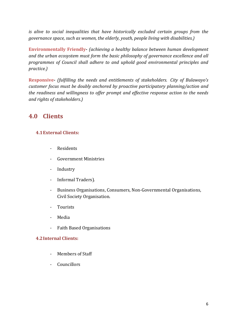*is alive to social inequalities that have historically excluded certain groups from the governance space, such as women, the elderly, youth, people living with disabilities.)*

Environmentally Friendly*- (achieving a healthy balance between human development and the urban ecosystem must form the basic philosophy of governance excellence and all programmes of Council shall adhere to and uphold good environmental principles and practice.)* 

Responsive*- (fulfilling the needs and entitlements of stakeholders. City of Bulawayo's customer focus must be doubly anchored by proactive participatory planning/action and the readiness and willingness to offer prompt and effective response action to the needs and rights of stakeholders.)*

## 4.0 Clients

#### 4.1External Clients:

- **Residents**
- Government Ministries
- Industry
- Informal Traders).
- Business Organisations, Consumers, Non-Governmental Organisations, Civil Society Organisation.
- Tourists
- Media
- Faith Based Organisations

#### 4.2Internal Clients:

- Members of Staff
- Councillors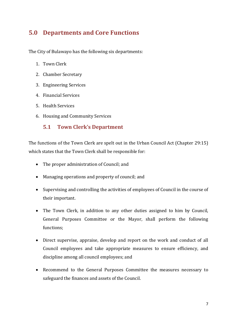## 5.0 Departments and Core Functions

The City of Bulawayo has the following six departments:

- 1. Town Clerk
- 2. Chamber Secretary
- 3. Engineering Services
- 4. Financial Services
- 5. Health Services
- 6. Housing and Community Services

#### 5.1 Town Clerk's Department

The functions of the Town Clerk are spelt out in the Urban Council Act (Chapter 29:15) which states that the Town Clerk shall be responsible for:

- The proper administration of Council; and
- Managing operations and property of council; and
- Supervising and controlling the activities of employees of Council in the course of their important.
- The Town Clerk, in addition to any other duties assigned to him by Council, General Purposes Committee or the Mayor, shall perform the following functions;
- Direct supervise, appraise, develop and report on the work and conduct of all Council employees and take appropriate measures to ensure efficiency, and discipline among all council employees; and
- Recommend to the General Purposes Committee the measures necessary to safeguard the finances and assets of the Council.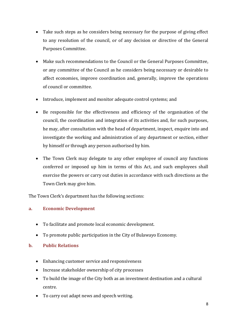- Take such steps as he considers being necessary for the purpose of giving effect to any resolution of the council, or of any decision or directive of the General Purposes Committee.
- Make such recommendations to the Council or the General Purposes Committee, or any committee of the Council as he considers being necessary or desirable to affect economies, improve coordination and, generally, improve the operations of council or committee.
- Introduce, implement and monitor adequate control systems; and
- Be responsible for the effectiveness and efficiency of the organisation of the council, the coordination and integration of its activities and, for such purposes, he may, after consultation with the head of department, inspect, enquire into and investigate the working and administration of any department or section, either by himself or through any person authorised by him.
- The Town Clerk may delegate to any other employee of council any functions conferred or imposed up him in terms of this Act, and such employees shall exercise the powers or carry out duties in accordance with such directions as the Town Clerk may give him.

The Town Clerk's department has the following sections:

#### a. Economic Development

- To facilitate and promote local economic development.
- To promote public participation in the City of Bulawayo Economy.

#### b. Public Relations

- Enhancing customer service and responsiveness
- Increase stakeholder ownership of city processes
- To build the image of the City both as an investment destination and a cultural centre.
- To carry out adapt news and speech writing.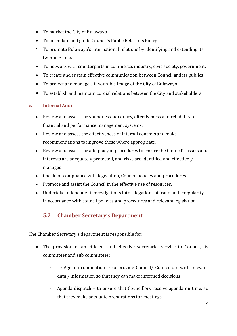- To market the City of Bulawayo.
- To formulate and guide Council's Public Relations Policy
- To promote Bulawayo's international relations by identifying and extending its twinning links
- To network with counterparts in commerce, industry, civic society, government.
- To create and sustain effective communication between Council and its publics
- To project and manage a favourable image of the City of Bulawayo
- To establish and maintain cordial relations between the City and stakeholders

#### c. Internal Audit

- Review and assess the soundness, adequacy, effectiveness and reliability of financial and performance management systems.
- Review and assess the effectiveness of internal controls and make recommendations to improve these where appropriate.
- Review and assess the adequacy of procedures to ensure the Council's assets and interests are adequately protected, and risks are identified and effectively managed.
- Check for compliance with legislation, Council policies and procedures.
- Promote and assist the Council in the effective use of resources.
- Undertake independent investigations into allegations of fraud and irregularity in accordance with council policies and procedures and relevant legislation.

## 5.2 Chamber Secretary's Department

The Chamber Secretary's department is responsible for:

- The provision of an efficient and effective secretarial service to Council, its committees and sub committees;
	- i.e Agenda compilation to provide Council/ Councillors with relevant data / information so that they can make informed decisions
	- Agenda dispatch to ensure that Councillors receive agenda on time, so that they make adequate preparations for meetings.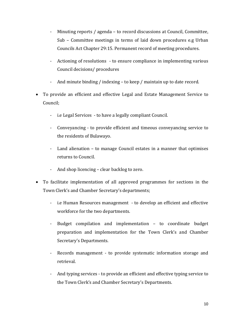- Minuting reports / agenda to record discussions at Council, Committee, Sub – Committee meetings in terms of laid down procedures e.g Urban Councils Act Chapter 29:15. Permanent record of meeting procedures.
- Actioning of resolutions to ensure compliance in implementing various Council decisions/ procedures
- And minute binding / indexing to keep / maintain up to date record.
- To provide an efficient and effective Legal and Estate Management Service to Council;
	- i.e Legal Services to have a legally compliant Council.
	- Conveyancing to provide efficient and timeous conveyancing service to the residents of Bulawayo.
	- Land alienation to manage Council estates in a manner that optimises returns to Council.
	- And shop licencing clear backlog to zero.
- To facilitate implementation of all approved programmes for sections in the Town Clerk's and Chamber Secretary's departments;
	- i.e Human Resources management to develop an efficient and effective workforce for the two departments.
	- Budget compilation and implementation to coordinate budget preparation and implementation for the Town Clerk's and Chamber Secretary's Departments.
	- Records management to provide systematic information storage and retrieval.
	- And typing services to provide an efficient and effective typing service to the Town Clerk's and Chamber Secretary's Departments.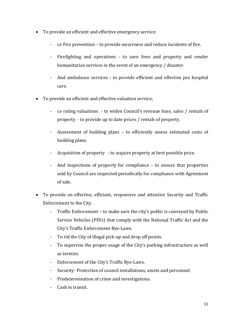- To provide an efficient and effective emergency service;
	- i.e Fire prevention to provide awareness and reduce incidents of fire.
	- Firefighting and operations to save lives and property and render humanitarian services in the event of an emergency / disaster.
	- And ambulance services to provide efficient and effective pre hospital care.
- To provide an efficient and effective valuation service;
	- i.e rating valuations to widen Council's revenue base, sales / rentals of property - to provide up to date prices / rentals of property.
	- Assessment of building plans to efficiently assess estimated costs of building plans.
	- Acquisition of property to acquire property at best possible price.
	- And inspections of property for compliance to ensure that properties sold by Council are inspected periodically for compliance with Agreement of sale.
- To provide an effective, efficient, responsive and attentive Security and Traffic Enforcement to the City.
	- Traffic Enforcement to make sure the city's public is conveyed by Public Service Vehicles (PSVs) that comply with the National Traffic Act and the City's Traffic Enforcement Bye-Laws.
	- To rid the City of illegal pick-up and drop off points.
	- To supervise the proper usage of the City's parking infrastructure as well as termini.
	- Enforcement of the City's Traffic Bye-Laws.
	- Security-Protection of council installations, assets and personnel.
	- Predetermination of crime and investigations.
	- Cash in transit.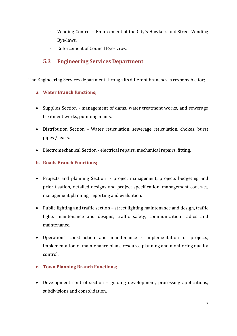- Vending Control Enforcement of the City's Hawkers and Street Vending Bye-laws.
- Enforcement of Council Bye-Laws.

## 5.3 Engineering Services Department

The Engineering Services department through its different branches is responsible for;

#### a. Water Branch functions;

- Supplies Section management of dams, water treatment works, and sewerage treatment works, pumping mains.
- Distribution Section Water reticulation, sewerage reticulation, chokes, burst pipes / leaks.
- Electromechanical Section electrical repairs, mechanical repairs, fitting.

#### b. Roads Branch Functions;

- Projects and planning Section project management, projects budgeting and prioritisation, detailed designs and project specification, management contract, management planning, reporting and evaluation.
- Public lighting and traffic section street lighting maintenance and design, traffic lights maintenance and designs, traffic safety, communication radios and maintenance.
- Operations construction and maintenance implementation of projects, implementation of maintenance plans, resource planning and monitoring quality control.
- c. Town Planning Branch Functions;
- Development control section guiding development, processing applications, subdivisions and consolidation.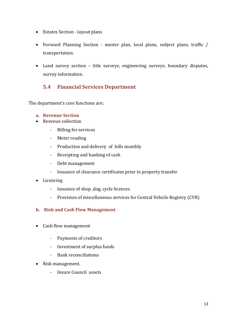- Estates Section layout plans
- Forward Planning Section master plan, local plans, subject plans, traffic / transportation.
- Land survey section title surveys, engineering surveys, boundary disputes, survey information.

## 5.4 Financial Services Department

The department's core functions are;

#### a. Revenue Section

- Revenue collection
	- Billing for services
	- Meter reading
	- Production and delivery of bills monthly
	- Receipting and banking of cash
	- Debt management
	- Issuance of clearance certificates prior to property transfer
- Licencing
	- Issuance of shop ,dog, cycle licences
	- Provision of miscellaneous services for Central Vehicle Registry (CVR)

#### b. Risk and Cash Flow Management

- Cash flow management
	- Payments of creditors
	- Investment of surplus funds
	- Bank reconciliations
- Risk management.
	- Insure Council assets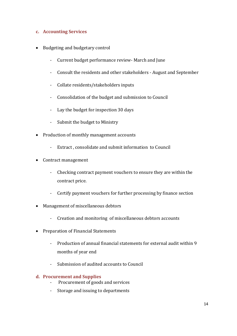#### c. Accounting Services

- Budgeting and budgetary control
	- Current budget performance review- March and June
	- Consult the residents and other stakeholders August and September
	- Collate residents/stakeholders inputs
	- Consolidation of the budget and submission to Council
	- Lay the budget for inspection 30 days
	- Submit the budget to Ministry
- Production of monthly management accounts
	- Extract , consolidate and submit information to Council
- Contract management
	- Checking contract payment vouchers to ensure they are within the contract price.
	- Certify payment vouchers for further processing by finance section
- Management of miscellaneous debtors
	- Creation and monitoring of miscellaneous debtors accounts
- Preparation of Financial Statements
	- Production of annual financial statements for external audit within 9 months of year end
	- Submission of audited accounts to Council

#### d. Procurement and Supplies

- Procurement of goods and services
- Storage and issuing to departments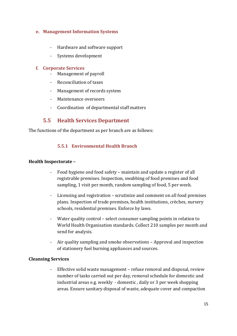#### e. Management Information Systems

- Hardware and software support
- Systems development

#### f. Corporate Services

- Management of payroll
- Reconciliation of taxes
- Management of records system
- Maintenance overseers
- Coordination of departmental staff matters

## 5.5 Health Services Department

The functions of the department as per branch are as follows:

#### 5.5.1 Environmental Health Branch

#### Health Inspectorate –

- Food hygiene and food safety maintain and update a register of all registrable premises. Inspection, swabbing of food premises and food sampling, 1 visit per month, random sampling of food, 5 per week.
- Licensing and registration scrutinize and comment on all food premises plans. Inspection of trade premises, health institutions, crèches, nursery schools, residential premises. Enforce by laws.
- Water quality control select consumer sampling points in relation to World Health Organisation standards. Collect 210 samples per month and send for analysis.
- Air quality sampling and smoke observations Approval and inspection of stationery fuel burning appliances and sources.

#### Cleansing Services

- Effective solid waste management – refuse removal and disposal, review number of tasks carried out per day, removal schedule for domestic and industrial areas e.g. weekly - domestic , daily or 3 per week shopping areas. Ensure sanitary disposal of waste, adequate cover and compaction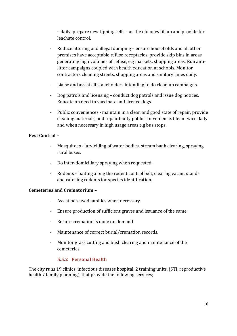– daily, prepare new tipping cells – as the old ones fill up and provide for leachate control.

- Reduce littering and illegal dumping ensure households and all other premises have acceptable refuse receptacles, provide skip bins in areas generating high volumes of refuse, e.g markets, shopping areas. Run antilitter campaigns coupled with health education at schools. Monitor contractors cleaning streets, shopping areas and sanitary lanes daily.
- Liaise and assist all stakeholders intending to do clean up campaigns.
- Dog patrols and licensing conduct dog patrols and issue dog notices. Educate on need to vaccinate and licence dogs.
- Public conveniences maintain in a clean and good state of repair, provide cleaning materials, and repair faulty public convenience. Clean twice daily and when necessary in high usage areas e.g bus stops.

#### Pest Control –

- Mosquitoes larviciding of water bodies, stream bank clearing, spraying rural buses.
- Do inter-domiciliary spraying when requested.
- Rodents baiting along the rodent control belt, clearing vacant stands and catching rodents for species identification.

#### Cemeteries and Crematorium –

- Assist bereaved families when necessary.
- Ensure production of sufficient graves and issuance of the same
- Ensure cremation is done on demand
- Maintenance of correct burial/cremation records.
- Monitor grass cutting and bush clearing and maintenance of the cemeteries.

#### 5.5.2 Personal Health

The city runs 19 clinics, infectious diseases hospital, 2 training units, (STI, reproductive health / family planning), that provide the following services;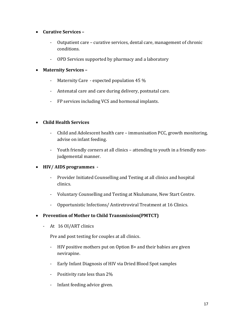#### Curative Services –

- Outpatient care curative services, dental care, management of chronic conditions.
- OPD Services supported by pharmacy and a laboratory

#### Maternity Services –

- Maternity Care expected population 45 %
- Antenatal care and care during delivery, postnatal care.
- FP services including VCS and hormonal implants.

#### Child Health Services

- Child and Adolescent health care immunisation PCC, growth monitoring, advise on infant feeding.
- Youth friendly corners at all clinics attending to youth in a friendly nonjudgemental manner.

#### • HIV/ AIDS programmes -

- Provider Initiated Counselling and Testing at all clinics and hospital clinics.
- Voluntary Counselling and Testing at Nkulumane, New Start Centre.
- Opportunistic Infections/ Antiretroviral Treatment at 16 Clinics.
- Prevention of Mother to Child Transmission(PMTCT)
	- At 16 OI/ART clinics

Pre and post testing for couples at all clinics.

- HIV positive mothers put on Option B+ and their babies are given nevirapine.
- Early Infant Diagnosis of HIV via Dried Blood Spot samples
- Positivity rate less than 2%
- Infant feeding advice given.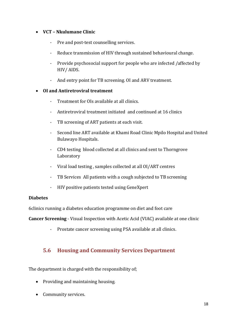#### VCT – Nkulumane Clinic

- Pre and post-test counselling services.
- Reduce transmission of HIV through sustained behavioural change.
- Provide psychosocial support for people who are infected /affected by HIV/ AIDS.
- And entry point for TB screening. OI and ARV treatment.

#### OI and Antiretroviral treatment

- Treatment for OIs available at all clinics.
- Antiretroviral treatment initiated and continued at 16 clinics
- TB screening of ART patients at each visit.
- Second line ART available at Khami Road Clinic Mpilo Hospital and United Bulawayo Hospitals.
- CD4 testing blood collected at all clinics and sent to Thorngrove Laboratory
- Viral load testing , samples collected at all OI/ART centres
- TB Services All patients with a cough subjected to TB screening
- HIV positive patients tested using GeneXpert

#### Diabetes

6clinics running a diabetes education programme on diet and foot care

Cancer Screening - Visual Inspection with Acetic Acid (VIAC) available at one clinic

- Prostate cancer screening using PSA available at all clinics.

## 5.6 Housing and Community Services Department

The department is charged with the responsibility of;

- Providing and maintaining housing.
- Community services.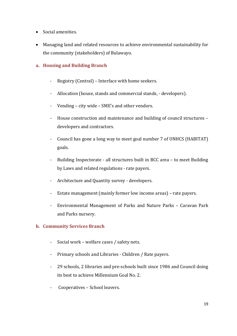- Social amenities.
- Managing land and related resources to achieve environmental sustainability for the community (stakeholders) of Bulawayo.

#### a. Housing and Building Branch

- Registry (Central) Interface with home seekers.
- Allocation (house, stands and commercial stands, developers).
- Vending city wide SME's and other vendors.
- House construction and maintenance and building of council structures developers and contractors.
- Council has gone a long way to meet goal number 7 of UNHCS (HABITAT) goals.
- Building Inspectorate all structures built in BCC area to meet Building by Laws and related regulations - rate payers.
- Architecture and Quantity survey developers.
- Estate management (mainly former low income areas) rate payers.
- Environmental Management of Parks and Nature Parks Caravan Park and Parks nursery.

#### b. Community Services Branch

- Social work welfare cases / safety nets.
- Primary schools and Libraries Children / Rate payers.
- 29 schools, 2 libraries and pre-schools built since 1986 and Council doing its best to achieve Millennium Goal No. 2.
- Cooperatives School leavers.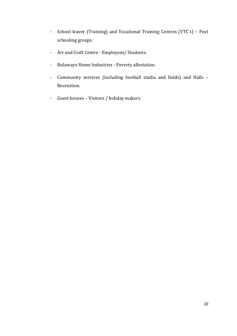- School leaver (Training) and Vocational Training Centres (VTC's) Post schooling groups.
- Art and Craft Centre Employees/ Students.
- Bulawayo Home Industries Poverty alleviation.
- Community services (including football stadia and fields) and Halls Recreation.
- Guest houses Visitors / holiday makers.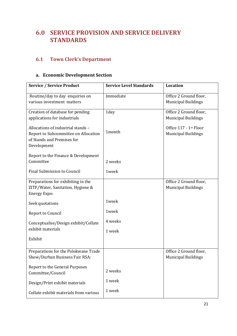## 6.0 SERVICE PROVISION AND SERVICE DELIVERY **STANDARDS**

## 6.1 Town Clerk's Department

## a. Economic Development Section

| <b>Service / Service Product</b>                                                                                        | <b>Service Level Standards</b> | <b>Location</b>                                      |
|-------------------------------------------------------------------------------------------------------------------------|--------------------------------|------------------------------------------------------|
| Routine/day to day enquiries on<br>various investment matters                                                           | Immediate                      | Office 2 Ground floor,<br><b>Municipal Buildings</b> |
| Creation of database for pending<br>applications for industrials                                                        | 1day                           | Office 2 Ground floor,<br><b>Municipal Buildings</b> |
| Allocations of industrial stands -<br>Report to Subcommittee on Allocation<br>of Stands and Premises for<br>Development | 1month                         | Office 117 - 1st Floor<br><b>Municipal Buildings</b> |
| Report to the Finance & Development<br>Committee                                                                        | 2 weeks                        |                                                      |
| <b>Final Submission to Council</b>                                                                                      | 1week                          |                                                      |
| Preparations for exhibiting in the<br>ZITF/Water, Sanitation, Hygiene &<br><b>Energy Expo:</b>                          |                                | Office 2 Ground floor,<br><b>Municipal Buildings</b> |
| Seek quotations                                                                                                         | 1week                          |                                                      |
| Report to Council                                                                                                       | 1week                          |                                                      |
| Conceptualise/Design exhibit/Collate                                                                                    | 4 weeks                        |                                                      |
| exhibit materials                                                                                                       | 1 week                         |                                                      |
| Exhibit                                                                                                                 |                                |                                                      |
| Preparations for the Polokwane Trade<br>Show/Durban Business Fair RSA:                                                  |                                | Office 2 Ground floor,<br><b>Municipal Buildings</b> |
| Report to the General Purposes<br>Committee/Council                                                                     | 2 weeks                        |                                                      |
| Design/Print exhibit materials                                                                                          | 1 week                         |                                                      |
| Collate exhibit materials from various                                                                                  | 1 week                         |                                                      |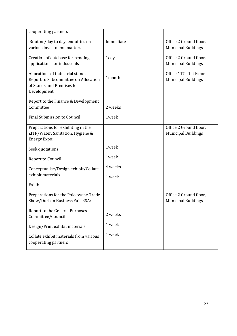| cooperating partners                                                                                                    |           |                                                      |
|-------------------------------------------------------------------------------------------------------------------------|-----------|------------------------------------------------------|
| Routine/day to day enquiries on<br>various investment matters                                                           | Immediate | Office 2 Ground floor,<br><b>Municipal Buildings</b> |
| Creation of database for pending<br>applications for industrials                                                        | 1day      | Office 2 Ground floor,<br><b>Municipal Buildings</b> |
| Allocations of industrial stands -<br>Report to Subcommittee on Allocation<br>of Stands and Premises for<br>Development | 1month    | Office 117 - 1st Floor<br><b>Municipal Buildings</b> |
| Report to the Finance & Development<br>Committee                                                                        | 2 weeks   |                                                      |
| Final Submission to Council                                                                                             | 1week     |                                                      |
| Preparations for exhibiting in the<br>ZITF/Water, Sanitation, Hygiene &<br><b>Energy Expo:</b>                          |           | Office 2 Ground floor,<br><b>Municipal Buildings</b> |
| Seek quotations                                                                                                         | 1week     |                                                      |
| Report to Council                                                                                                       | 1week     |                                                      |
| Conceptualise/Design exhibit/Collate                                                                                    | 4 weeks   |                                                      |
| exhibit materials                                                                                                       | 1 week    |                                                      |
| Exhibit                                                                                                                 |           |                                                      |
| Preparations for the Polokwane Trade<br>Show/Durban Business Fair RSA:                                                  |           | Office 2 Ground floor,<br><b>Municipal Buildings</b> |
| Report to the General Purposes<br>Committee/Council                                                                     | 2 weeks   |                                                      |
| Design/Print exhibit materials                                                                                          | 1 week    |                                                      |
| Collate exhibit materials from various<br>cooperating partners                                                          | 1 week    |                                                      |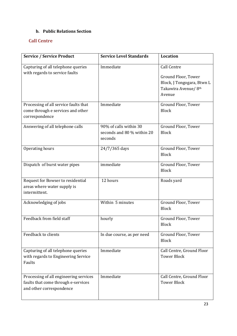#### b. Public Relations Section

#### Call Centre

| <b>Service / Service Product</b>                                                                          | <b>Service Level Standards</b>                                  | <b>Location</b>                                                                     |
|-----------------------------------------------------------------------------------------------------------|-----------------------------------------------------------------|-------------------------------------------------------------------------------------|
| Capturing of all telephone queries<br>with regards to service faults                                      | Immediate                                                       | <b>Call Centre</b>                                                                  |
|                                                                                                           |                                                                 | Ground Floor, Tower<br>Block, J Tongogara, Btwn L<br>Takawira Avenue/ 8th<br>Avenue |
| Processing of all service faults that<br>come through e services and other<br>correspondence              | Immediate                                                       | Ground Floor, Tower<br><b>Block</b>                                                 |
| Answering of all telephone calls                                                                          | 90% of calls within 30<br>seconds and 80 % within 20<br>seconds | Ground Floor, Tower<br><b>Block</b>                                                 |
| Operating hours                                                                                           | 24/7/365 days                                                   | Ground Floor, Tower<br><b>Block</b>                                                 |
| Dispatch of burst water pipes                                                                             | immediate                                                       | Ground Floor, Tower<br><b>Block</b>                                                 |
| Request for Bowser to residential<br>areas where water supply is<br>intermittent.                         | 12 hours                                                        | Roads yard                                                                          |
| Acknowledging of jobs                                                                                     | Within 5 minutes                                                | Ground Floor, Tower<br><b>Block</b>                                                 |
| Feedback from field staff                                                                                 | hourly                                                          | Ground Floor, Tower<br><b>Block</b>                                                 |
| Feedback to clients                                                                                       | In due course, as per need                                      | Ground Floor, Tower<br><b>Block</b>                                                 |
| Capturing of all telephone queries<br>with regards to Engineering Service<br>Faults                       | Immediate                                                       | Call Centre, Ground Floor<br><b>Tower Block</b>                                     |
| Processing of all engineering services<br>faults that come through e-services<br>and other correspondence | Immediate                                                       | Call Centre, Ground Floor<br><b>Tower Block</b>                                     |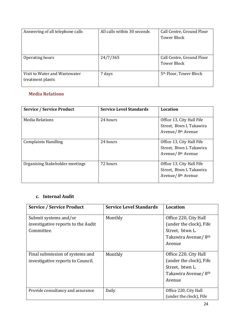| Answering of all telephone calls                  | All calls within 30 seconds | Call Centre, Ground Floor<br>Tower Block |
|---------------------------------------------------|-----------------------------|------------------------------------------|
| Operating hours                                   | 24/7/365                    | Call Centre, Ground Floor<br>Tower Block |
| Visit to Water and Wastewater<br>treatment plants | 7 days                      | 5 <sup>th</sup> Floor, Tower Block       |

#### Media Relations

| <b>Service / Service Product</b> | <b>Service Level Standards</b> | Location                                                                               |
|----------------------------------|--------------------------------|----------------------------------------------------------------------------------------|
| <b>Media Relations</b>           | 24 hours                       | Office 13, City Hall Fife<br>Street, Btwn L Takawira<br>Avenue/ 8 <sup>th</sup> Avenue |
| <b>Complaints Handling</b>       | 24 hours                       | Office 13, City Hall Fife<br>Street, Btwn L Takawira<br>Avenue/ 8th Avenue             |
| Organising Stakeholder meetings  | 72 hours                       | Office 13, City Hall Fife<br>Street, Btwn L Takawira<br>Avenue/ 8 <sup>th</sup> Avenue |

#### c. Internal Audit

| <b>Service / Service Product</b>   | <b>Service Level Standards</b> | <b>Location</b>                  |
|------------------------------------|--------------------------------|----------------------------------|
| Submit systems and/or              | Monthly                        | Office 220, City Hall            |
| investigative reports to the Audit |                                | (under the clock), Fife          |
| Committee.                         |                                | Street, btwn L.                  |
|                                    |                                | Takawira Avenue/ 8 <sup>th</sup> |
|                                    |                                | Avenue                           |
|                                    |                                |                                  |
| Final submission of systems and    | Monthly                        | Office 220, City Hall            |
| investigative reports to Council.  |                                | (under the clock), Fife          |
|                                    |                                | Street, btwn L.                  |
|                                    |                                | Takawira Avenue/ 8 <sup>th</sup> |
|                                    |                                | Avenue                           |
|                                    |                                |                                  |
| Provide consultancy and assurance  | Daily                          | Office 220, City Hall            |
|                                    |                                | (under the clock), Fife          |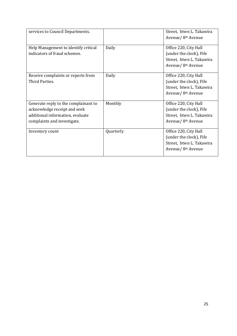| services to Council Departments.                                                                                                        |           | Street, btwn L. Takawira<br>Avenue/ 8 <sup>th</sup> Avenue                                                     |
|-----------------------------------------------------------------------------------------------------------------------------------------|-----------|----------------------------------------------------------------------------------------------------------------|
| Help Management to identify critical<br>indicators of fraud schemes.                                                                    | Daily     | Office 220, City Hall<br>(under the clock), Fife<br>Street, btwn L. Takawira<br>Avenue/ 8 <sup>th</sup> Avenue |
| Receive complaints or reports from<br>Third Parties.                                                                                    | Daily     | Office 220, City Hall<br>(under the clock), Fife<br>Street, btwn L. Takawira<br>Avenue/ 8 <sup>th</sup> Avenue |
| Generate reply to the complainant to<br>acknowledge receipt and seek<br>additional information, evaluate<br>complaints and investigate. | Monthly   | Office 220, City Hall<br>(under the clock), Fife<br>Street, btwn L. Takawira<br>Avenue/ 8 <sup>th</sup> Avenue |
| Inventory count                                                                                                                         | Quarterly | Office 220, City Hall<br>(under the clock), Fife<br>Street, btwn L. Takawira<br>Avenue/ 8 <sup>th</sup> Avenue |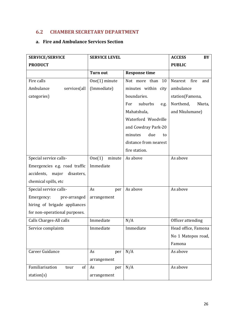#### 6.2 CHAMBER SECRETARY DEPARTMENT

#### a. Fire and Ambulance Services Section

| <b>SERVICE/SERVICE</b>            | <b>SERVICE LEVEL</b> |                        | <b>ACCESS</b><br>BY    |
|-----------------------------------|----------------------|------------------------|------------------------|
| <b>PRODUCT</b>                    |                      |                        | <b>PUBLIC</b>          |
|                                   | <b>Turn out</b>      | <b>Response time</b>   |                        |
| Fire calls                        | One(1) minute        | Not more than<br>10    | Nearest<br>fire<br>and |
| Ambulance<br>services(all         | (Immediate)          | minutes within city    | ambulance              |
| categories)                       |                      | boundaries.            | station(Famona,        |
|                                   |                      | suburbs<br>For<br>e.g. | Northend,<br>Nketa,    |
|                                   |                      | Mahatshula,            | and Nkulumane)         |
|                                   |                      | Waterford Woodville    |                        |
|                                   |                      | and Cowdray Park-20    |                        |
|                                   |                      | due<br>minutes<br>to   |                        |
|                                   |                      | distance from nearest  |                        |
|                                   |                      | fire station.          |                        |
| Special service calls-            | One(1)<br>minute     | As above               | As above               |
| Emergencies e.g. road traffic     | Immediate            |                        |                        |
| accidents,<br>major<br>disasters, |                      |                        |                        |
| chemical spills, etc              |                      |                        |                        |
| Special service calls-            | As<br>per            | As above               | As above               |
| Emergency:<br>pre-arranged        | arrangement          |                        |                        |
| hiring of brigade appliances      |                      |                        |                        |
| for non-operational purposes.     |                      |                        |                        |
| Calls Charges-All calls           | Immediate            | N/A                    | Officer attending      |
| Service complaints                | Immediate            | Immediate              | Head office, Famona    |
|                                   |                      |                        | No 1 Matopos road,     |
|                                   |                      |                        | Famona                 |
| Career Guidance                   | As<br>per            | N/A                    | As above               |
|                                   | arrangement          |                        |                        |
| Familiarisation<br>of<br>tour     | As<br>per            | N/A                    | As above               |
| station(s)                        | arrangement          |                        |                        |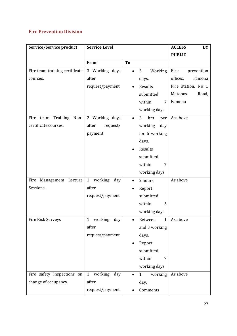#### Fire Prevention Division

| Service/Service product        | <b>Service Level</b>           |                                      | <b>ACCESS</b><br>BY |
|--------------------------------|--------------------------------|--------------------------------------|---------------------|
|                                |                                |                                      | <b>PUBLIC</b>       |
|                                | From                           | To                                   |                     |
| Fire team training certificate | 3 Working days                 | Working<br>3                         | Fire<br>prevention  |
| courses.                       | after                          | days.                                | offices,<br>Famona  |
|                                | request/payment                | Results                              | Fire station, No 1  |
|                                |                                | submitted                            | Matopos<br>Road,    |
|                                |                                | within<br>7                          | Famona              |
|                                |                                | working days                         |                     |
| Training Non-<br>Fire team     | 2 Working days                 | 3<br>hrs<br>per<br>$\bullet$         | As above            |
| certificate courses.           | after<br>request/              | working<br>day                       |                     |
|                                | payment                        | for 5 working                        |                     |
|                                |                                | days.                                |                     |
|                                |                                | Results                              |                     |
|                                |                                | submitted                            |                     |
|                                |                                | within<br>7                          |                     |
|                                |                                | working days                         |                     |
| Fire<br>Management Lecture     | $\mathbf{1}$<br>working<br>day | 2 hours<br>٠                         | As above            |
| Sessions.                      | after                          | Report                               |                     |
|                                | request/payment                | submitted                            |                     |
|                                |                                | within<br>5                          |                     |
|                                |                                | working days                         |                     |
| Fire Risk Surveys              | working<br>$\mathbf{1}$<br>day | $\mathbf{1}$<br>Between<br>$\bullet$ | As above            |
|                                | after                          | and 3 working                        |                     |
|                                | request/payment                | days.                                |                     |
|                                |                                | Report                               |                     |
|                                |                                | submitted                            |                     |
|                                |                                | within<br>7                          |                     |
|                                |                                | working days                         |                     |
| Fire safety Inspections on     | working<br>day<br>$\mathbf{1}$ | working<br>$\mathbf{1}$              | As above            |
| change of occupancy.           | after                          | day.                                 |                     |
|                                | request/payment.               | Comments                             |                     |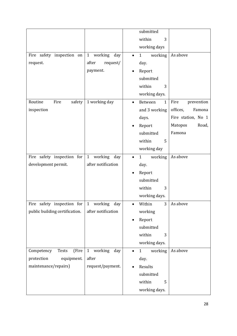|                                |                                | submitted                            |                    |
|--------------------------------|--------------------------------|--------------------------------------|--------------------|
|                                |                                | within<br>3                          |                    |
|                                |                                | working days                         |                    |
| Fire safety inspection<br>on   | $\mathbf{1}$<br>working<br>day | working<br>$\mathbf{1}$<br>$\bullet$ | As above           |
| request.                       | after<br>request/              | day.                                 |                    |
|                                | payment.                       | Report                               |                    |
|                                |                                | submitted                            |                    |
|                                |                                | within<br>3                          |                    |
|                                |                                | working days.                        |                    |
| Routine<br>Fire<br>safety      | 1 working day                  | Between<br>$\mathbf{1}$<br>$\bullet$ | Fire<br>prevention |
| inspection                     |                                | and 3 working                        | offices,<br>Famona |
|                                |                                | days.                                | Fire station, No 1 |
|                                |                                | Report                               | Road,<br>Matopos   |
|                                |                                | submitted                            | Famona             |
|                                |                                | within<br>5                          |                    |
|                                |                                | working day                          |                    |
| Fire safety inspection for     | $\mathbf{1}$<br>working<br>day | $\mathbf{1}$<br>working<br>$\bullet$ | As above           |
| development permit.            | after notification             | day.                                 |                    |
|                                |                                | Report                               |                    |
|                                |                                | submitted                            |                    |
|                                |                                | within<br>3                          |                    |
|                                |                                | working days.                        |                    |
| Fire safety inspection for     | $\mathbf{1}$<br>working<br>day | Within<br>3<br>$\bullet$             | As above           |
| public building certification. | after notification             | working                              |                    |
|                                |                                | Report                               |                    |
|                                |                                | submitted                            |                    |
|                                |                                | within<br>3                          |                    |
|                                |                                | working days.                        |                    |
| (Fire<br>Competency<br>Tests   | $\mathbf{1}$<br>working<br>day | $\mathbf{1}$<br>working              | As above           |
| equipment.<br>protection       | after                          | day.                                 |                    |
| maintenance/repairs)           | request/payment.               | Results                              |                    |
|                                |                                | submitted                            |                    |
|                                |                                | within<br>5                          |                    |
|                                |                                | working days.                        |                    |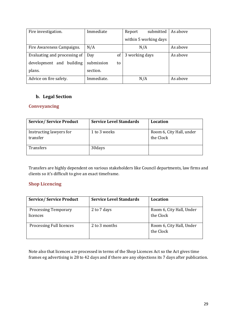| Fire investigation.          | Immediate        | submitted<br>Report   | As above |
|------------------------------|------------------|-----------------------|----------|
|                              |                  | within 5 working days |          |
| Fire Awareness Campaigns.    | N/A              | N/A                   | As above |
| Evaluating and processing of | of<br>Day        | 3 working days        | As above |
| development and building     | submission<br>to |                       |          |
| plans.                       | section.         |                       |          |
| Advice on fire safety.       | Immediate.       | N/A                   | As above |

#### b. Legal Section

#### **Conveyancing**

| <b>Service/Service Product</b>      | <b>Service Level Standards</b> | Location                              |
|-------------------------------------|--------------------------------|---------------------------------------|
| Instructing lawyers for<br>transfer | 1 to 3 weeks                   | Room 6, City Hall, under<br>the Clock |
| Transfers                           | 30 days                        |                                       |

Transfers are highly dependent on various stakeholders like Council departments, law firms and clients so it's difficult to give an exact timeframe.

#### Shop Licencing

| <b>Service/Service Product</b>          | <b>Service Level Standards</b> | Location                              |
|-----------------------------------------|--------------------------------|---------------------------------------|
| <b>Processing Temporary</b><br>licences | 2 to 7 days                    | Room 6, City Hall, Under<br>the Clock |
| Processing Full licences                | 2 to 3 months                  | Room 6, City Hall, Under<br>the Clock |

Note also that licences are processed in terms of the Shop Licences Act so the Act gives time frames eg advertising is 28 to 42 days and if there are any objections its 7 days after publication.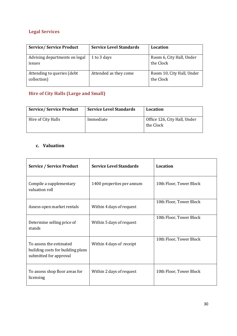## Legal Services

| <b>Service/Service Product</b>             | <b>Service Level Standards</b> | Location                               |
|--------------------------------------------|--------------------------------|----------------------------------------|
| Advising departments on legal<br>issues    | 1 to 3 days                    | Room 6, City Hall, Under<br>the Clock  |
| Attending to queries (debt)<br>collection) | Attended as they come          | Room 10, City Hall, Under<br>the Clock |

## Hire of City Halls (Large and Small)

| <b>Service/Service Product</b> | <b>Service Level Standards</b> | <b>Location</b>                           |
|--------------------------------|--------------------------------|-------------------------------------------|
| Hire of City Halls             | Immediate                      | Office 126, City Hall, Under<br>the Clock |

## c. Valuation

| <b>Service / Service Product</b>                                                       | <b>Service Level Standards</b> | <b>Location</b>         |
|----------------------------------------------------------------------------------------|--------------------------------|-------------------------|
| Compile a supplementary<br>valuation roll                                              | 1400 properties per annum      | 10th Floor, Tower Block |
| Assess open market rentals                                                             | Within 4 days of request       | 10th Floor, Tower Block |
| Determine selling price of<br>stands                                                   | Within 5 days of request       | 10th Floor, Tower Block |
| To assess the estimated<br>building costs for building plans<br>submitted for approval | Within 4 days of receipt       | 10th Floor, Tower Block |
| To assess shop floor areas for<br>licensing                                            | Within 2 days of request       | 10th Floor, Tower Block |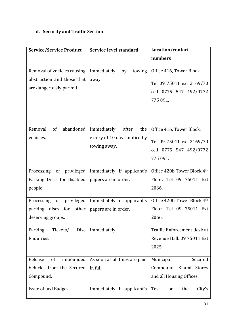## d. Security and Traffic Section

| <b>Service/Service Product</b>                                                                                        | Service level standard                                              | Location/contact                                                                                                             |
|-----------------------------------------------------------------------------------------------------------------------|---------------------------------------------------------------------|------------------------------------------------------------------------------------------------------------------------------|
|                                                                                                                       |                                                                     | numbers                                                                                                                      |
| Removal of vehicles causing<br>obstruction and those that<br>are dangerously parked.<br>Removal<br>of<br>abandoned    | Immediately<br>by<br>towing<br>away.<br>Immediately<br>after<br>the | Office 416, Tower Block.<br>Tel 09 75011 ext 2169/70<br>cell 0775 547 492/0772<br>775 091.<br>Office 416, Tower Block.       |
| vehicles.                                                                                                             | expiry of 10 days' notice by<br>towing away.                        | Tel 09 75011 ext 2169/70<br>cell 0775 547 492/0772<br>775 091.                                                               |
| Processing of privileged<br>Parking Discs for disabled<br>people.                                                     | Immediately if applicant's<br>papers are in order.                  | Office 420b Tower Block 4th<br>Floor. Tel 09 75011 Ext<br>2066.                                                              |
| Processing of privileged<br>parking discs for other<br>deserving groups.<br>Parking<br>Tickets/<br>Disc<br>Enquiries. | Immediately if applicant's<br>papers are in order.<br>Immediately.  | Office 420b Tower Block 4th<br>Floor. Tel 09 75011 Ext<br>2066.<br>Traffic Enforcement desk at<br>Revenue Hall. 09 75011 Ext |
|                                                                                                                       |                                                                     | 2025                                                                                                                         |
| Release<br>of<br>impounded<br>Vehicles from the Secured<br>Compound.                                                  | As soon as all fines are paid<br>in full                            | Municipal<br>Secured<br>Compound, Khami Stores<br>and all Housing Offices.                                                   |
| Issue of taxi Badges.                                                                                                 | Immediately if applicant's                                          | Test<br>the<br>City's<br>on                                                                                                  |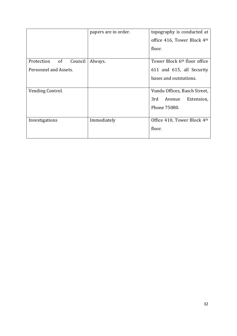|                             | papers are in order. | topography is conducted at               |
|-----------------------------|----------------------|------------------------------------------|
|                             |                      | office 416, Tower Block 4th              |
|                             |                      | floor.                                   |
| Protection<br>of<br>Council | Always.              | Tower Block 6 <sup>th</sup> floor office |
| Personnel and Assets.       |                      | 611 and 615, all Security                |
|                             |                      | bases and outstations.                   |
|                             |                      |                                          |
| Vending Control.            |                      | Vundu Offices, Basch Street,             |
|                             |                      | 3rd<br>Avenue<br>Extension,              |
|                             |                      | Phone 75080.                             |
|                             |                      |                                          |
| Investigations              | Immediately          | Office 410, Tower Block 4th              |
|                             |                      | floor.                                   |
|                             |                      |                                          |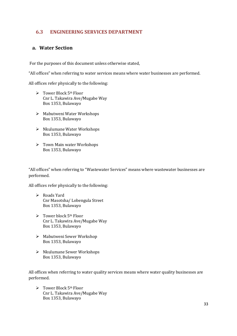#### 6.3 ENGINEERING SERVICES DEPARTMENT

#### a. Water Section

For the purposes of this document unless otherwise stated,

"All offices" when referring to water services means where water businesses are performed.

All offices refer physically to the following:

- $\triangleright$  Tower Block 5<sup>th</sup> Floor Cnr L. Takawira Ave/Mugabe Way Box 1353, Bulawayo
- Mabutweni Water Workshops Box 1353, Bulawayo
- Nkulumane Water Workshops Box 1353, Bulawayo
- Town Main water Workshops Box 1353, Bulawayo

"All offices" when referring to "Wastewater Services" means where wastewater businesses are performed.

All offices refer physically to the following:

- Roads Yard Cnr Masotsha/ Lobengula Street Box 1353, Bulawayo
- $\triangleright$  Tower block 5<sup>th</sup> Floor Cnr L. Takawira Ave/Mugabe Way Box 1353, Bulawayo
- Mabutweni Sewer Workshop Box 1353, Bulawayo
- ▶ Nkulumane Sewer Workshops Box 1353, Bulawayo

All offices when referring to water quality services means where water quality businesses are performed.

 $\triangleright$  Tower Block 5<sup>th</sup> Floor Cnr L. Takawira Ave/Mugabe Way Box 1353, Bulawayo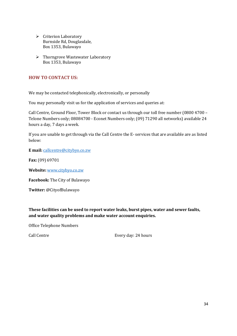- $\triangleright$  Criterion Laboratory Burnside Rd, Douglasdale, Box 1353, Bulawayo
- $\triangleright$  Thorngrove Wastewater Laboratory Box 1353, Bulawayo

#### HOW TO CONTACT US:

We may be contacted telephonically, electronically, or personally

You may personally visit us for the application of services and queries at:

Call Centre, Ground Floor, Tower Block or contact us through our toll free number (0800 4700 – Telone Numbers only; 08084700 - Econet Numbers only; (09) 71290 all networks) available 24 hours a day, 7 days a week.

If you are unable to get through via the Call Centre the E- services that are available are as listed below:

E mail: [callcentre@citybyo.co.zw](mailto:callcentre@citybyo.co.zw)

Fax: (09) 69701

Website: [www.citybyo.co.zw](http://www.citybyo.co.zw/)

Facebook: The City of Bulawayo

Twitter: @CityofBulawayo

These facilities can be used to report water leaks, burst pipes, water and sewer faults, and water quality problems and make water account enquiries.

Office Telephone Numbers

Call Centre **Every day: 24 hours**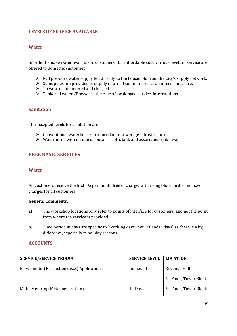#### LEVELS OF SERVICE AVAILABLE

#### **Water**

In order to make water available to customers at an affordable cost, various levels of service are offered to domestic customers:

- $\triangleright$  Full pressure water supply fed directly to the household from the City's supply network.
- $\triangleright$  Standpipes are provided to supply informal communities as an interim measure.
- $\triangleright$  These are not metered and charged
- > Tankered water / Bowser in the case of prolonged service interruptions

#### Sanitation

The accepted levels for sanitation are:

- $\triangleright$  Conventional waterborne connection to sewerage infrastructure.
- $\triangleright$  Waterborne with on-site disposal septic tank and associated soak-away.

#### FREE BASIC SERVICES

#### **Water**

All customers receive the first 5*kl* per month free of charge, with rising block tariffs and fixed charges for all customers.

#### General Comments:

- a) The workshop locations only refer to points of interface for customers, and not the point from where the service is provided.
- b) Time period in days are specific to "working days" not "calendar days" as there is a big difference, especially in holiday seasons.

#### **ACCOUNTS**

| <b>SERVICE/SERVICE PRODUCT</b>                | <b>SERVICE LEVEL</b> | <b>LOCATION</b>                                    |
|-----------------------------------------------|----------------------|----------------------------------------------------|
| Flow Limiter (Restriction discs) Applications | Immediate            | Revenue Hall<br>5 <sup>th</sup> Floor, Tower Block |
|                                               |                      |                                                    |
| Multi-Metering (Meter separation)             | 14 Days              | 5 <sup>th</sup> Floor, Tower Block                 |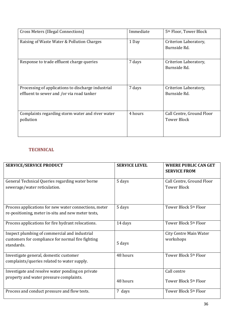| Cross Meters (Illegal Connections)                                                              | Immediate | 5 <sup>th</sup> Floor, Tower Block              |
|-------------------------------------------------------------------------------------------------|-----------|-------------------------------------------------|
| Raising of Waste Water & Pollution Charges                                                      | 1 Day     | Criterion Laboratory,<br>Burnside Rd.           |
| Response to trade effluent charge queries                                                       | 7 days    | Criterion Laboratory,<br>Burnside Rd.           |
| Processing of applications to discharge industrial<br>effluent to sewer and /or via road tanker | 7 days    | Criterion Laboratory,<br>Burnside Rd.           |
| Complaints regarding storm water and river water<br>pollution                                   | 4 hours   | Call Centre, Ground Floor<br><b>Tower Block</b> |

#### **TECHNICAL**

| <b>SERVICE/SERVICE PRODUCT</b>                                                                                   | <b>SERVICE LEVEL</b> | <b>WHERE PUBLIC CAN GET</b><br><b>SERVICE FROM</b> |
|------------------------------------------------------------------------------------------------------------------|----------------------|----------------------------------------------------|
| General Technical Queries regarding water borne<br>sewerage/water reticulation.                                  | 5 days               | Call Centre, Ground Floor<br><b>Tower Block</b>    |
| Process applications for new water connections, meter<br>re-positioning, meter in-situ and new meter tests,      | 5 days               | Tower Block 5th Floor                              |
| Process applications for fire hydrant relocations.                                                               | 14 days              | Tower Block 5th Floor                              |
| Inspect plumbing of commercial and industrial<br>customers for compliance for normal fire fighting<br>standards. | 5 days               | <b>City Centre Main Water</b><br>workshops         |
| Investigate general, domestic customer<br>complaints/queries related to water supply.                            | 48 hours             | Tower Block 5th Floor                              |
| Investigate and resolve water ponding on private<br>property and water pressure complaints.                      | 48 hours             | Call centre<br>Tower Block 5th Floor               |
| Process and conduct pressure and flow tests.                                                                     | 7 days               | Tower Block 5th Floor                              |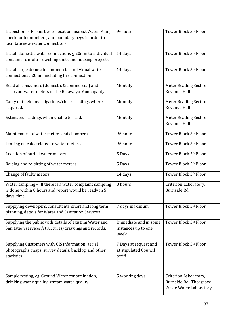| Inspection of Properties to location nearest Water Main,<br>check for lot numbers, and boundary pegs in order to<br>facilitate new water connections. | 96 hours                                                  | Tower Block 5th Floor                                                             |
|-------------------------------------------------------------------------------------------------------------------------------------------------------|-----------------------------------------------------------|-----------------------------------------------------------------------------------|
| Install domestic water connections $\leq$ 20mm to individual<br>consumer's multi - dwelling units and housing projects.                               | 14 days                                                   | Tower Block 5th Floor                                                             |
| Install large domestic, commercial, individual water<br>connections >20mm including fire connection.                                                  | 14 days                                                   | Tower Block 5th Floor                                                             |
| Read all consumers (domestic & commercial) and<br>reservoir water meters in the Bulawayo Municipality.                                                | Monthly                                                   | Meter Reading Section,<br>Revenue Hall                                            |
| Carry out field investigations/check readings where<br>required.                                                                                      | Monthly                                                   | Meter Reading Section,<br>Revenue Hall                                            |
| Estimated readings when unable to read.                                                                                                               | Monthly                                                   | Meter Reading Section,<br>Revenue Hall                                            |
| Maintenance of water meters and chambers                                                                                                              | 96 hours                                                  | Tower Block 5th Floor                                                             |
| Tracing of leaks related to water meters.                                                                                                             | 96 hours                                                  | Tower Block 5th Floor                                                             |
| Location of buried water meters.                                                                                                                      | 5 Days                                                    | Tower Block 5th Floor                                                             |
| Raising and re-sitting of water meters                                                                                                                | 5 Days                                                    | Tower Block 5th Floor                                                             |
| Change of faulty meters.                                                                                                                              | 14 days                                                   | Tower Block 5th Floor                                                             |
| Water sampling -: If there is a water complaint sampling<br>is done within 8 hours and report would be ready in 5<br>days' time.                      | 8 hours                                                   | Criterion Laboratory,<br>Burnside Rd.                                             |
| Supplying developers, consultants, short and long term<br>planning, details for Water and Sanitation Services.                                        | 7 days maximum                                            | Tower Block 5th Floor                                                             |
| Supplying the public with details of existing Water and<br>Sanitation services/structures/drawings and records.                                       | Immediate and in some<br>instances up to one<br>week.     | Tower Block 5th Floor                                                             |
| Supplying Customers with GIS information, aerial<br>photographs, maps, survey details, backlog, and other<br>statistics                               | 7 Days at request and<br>at stipulated Council<br>tariff. | Tower Block 5th Floor                                                             |
| Sample testing, eg. Ground Water contamination,<br>drinking water quality, stream water quality.                                                      | 5 working days                                            | Criterion Laboratory,<br>Burnside Rd., Thorgrove<br><b>Waste Water Laboratory</b> |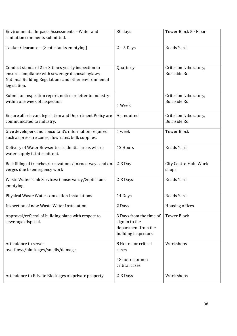| Environmental Impacts Assessments - Water and             | $\overline{3}0$ days    | Tower Block 5th Floor        |
|-----------------------------------------------------------|-------------------------|------------------------------|
| sanitation comments submitted. -                          |                         |                              |
|                                                           |                         |                              |
| Tanker Clearance - (Septic tanks emptying)                | $2 - 5$ Days            | Roads Yard                   |
|                                                           |                         |                              |
|                                                           |                         |                              |
| Conduct standard 2 or 3 times yearly inspection to        | Quarterly               | Criterion Laboratory,        |
| ensure compliance with sewerage disposal bylaws,          |                         | Burnside Rd.                 |
| National Building Regulations and other environmental     |                         |                              |
| legislation.                                              |                         |                              |
|                                                           |                         |                              |
| Submit an inspection report, notice or letter to industry |                         | Criterion Laboratory,        |
| within one week of inspection.                            | 1 Week                  | Burnside Rd.                 |
|                                                           |                         |                              |
| Ensure all relevant legislation and Department Policy are | As required             | Criterion Laboratory,        |
| communicated to industry.                                 |                         | Burnside Rd.                 |
|                                                           |                         |                              |
| Give developers and consultant's information required     | 1 week                  | <b>Tower Block</b>           |
| such as pressure zones, flow rates, bulk supplies.        |                         |                              |
| Delivery of Water Bowser to residential areas where       | 12 Hours                | Roads Yard                   |
| water supply is intermittent.                             |                         |                              |
|                                                           |                         |                              |
| Backfilling of trenches/excavations/ in road ways and on  | $2-3$ Day               | <b>City Centre Main Work</b> |
| verges due to emergency work                              |                         | shops                        |
|                                                           |                         |                              |
| Waste Water Tank Services: Conservancy/Septic tank        | 2-3 Days                | Roads Yard                   |
| emptying.                                                 |                         |                              |
| Physical Waste Water connection Installations             | 14 Days                 | Roads Yard                   |
|                                                           |                         |                              |
| Inspection of new Waste Water Installation                | 2 Days                  | Housing offices              |
| Approval/referral of building plans with respect to       | 3 Days from the time of | <b>Tower Block</b>           |
| sewerage disposal.                                        |                         |                              |
|                                                           | sign in to the          |                              |
|                                                           | department from the     |                              |
|                                                           | building inspectors     |                              |
| Attendance to sewer                                       | 8 Hours for critical    | Workshops                    |
| overflows/blockages/smells/damage                         | cases                   |                              |
|                                                           |                         |                              |
|                                                           | 48 hours for non-       |                              |
|                                                           | critical cases          |                              |
| Attendance to Private Blockages on private property       | 2-3 Days                | Work shops                   |
|                                                           |                         |                              |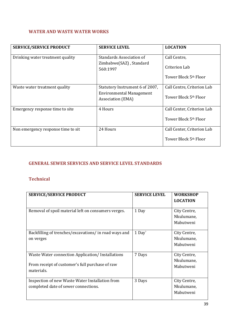#### WATER AND WASTE WATER WORKS

| <b>SERVICE/SERVICE PRODUCT</b>     | <b>SERVICE LEVEL</b>                                 | <b>LOCATION</b>                   |
|------------------------------------|------------------------------------------------------|-----------------------------------|
| Drinking water treatment quality   | Standards Association of                             | Call Centre,                      |
|                                    | Zimbabwe(SAZ), Standard<br>560:1997                  | Criterion Lab                     |
|                                    |                                                      | Tower Block 5 <sup>th</sup> Floor |
| Waste water treatment quality      | Statutory Instrument 6 of 2007,                      | Call Centre, Criterion Lab        |
|                                    | <b>Environmental Management</b><br>Association (EMA) | Tower Block 5th Floor             |
| Emergency response time to site    | 4 Hours                                              | Call Center, Criterion Lab        |
|                                    |                                                      | Tower Block 5 <sup>th</sup> Floor |
| Non emergency response time to sit | 24 Hours                                             | Call Center, Criterion Lab        |
|                                    |                                                      | Tower Block 5 <sup>th</sup> Floor |

#### GENERAL SEWER SERVICES AND SERVICE LEVEL STANDARDS

#### Technical

| <b>SERVICE/SERVICE PRODUCT</b>                                                                                    | <b>SERVICE LEVEL</b> | <b>WORKSHOP</b><br><b>LOCATION</b>      |
|-------------------------------------------------------------------------------------------------------------------|----------------------|-----------------------------------------|
| Removal of spoil material left on consumers verges.                                                               | 1 Day                | City Centre,<br>Nkulumane,<br>Mabutweni |
| Backfilling of trenches/excavations/ in road ways and<br>on verges                                                | 1 Day                | City Centre,<br>Nkulumane,<br>Mabutweni |
| Waste Water connection Application/Installations<br>From receipt of customer's full purchase of raw<br>materials. | 7 Days               | City Centre,<br>Nkulumane,<br>Mabutweni |
| Inspection of new Waste Water Installation from<br>completed date of sewer connections.                           | 3 Days               | City Centre,<br>Nkulumane,<br>Mabutweni |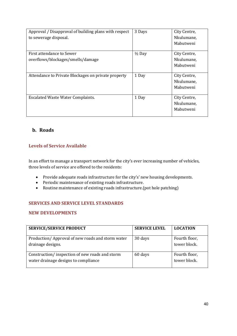| Approval / Disapproval of building plans with respect<br>to sewerage disposal. | 3 Days            | City Centre,<br>Nkulumane,<br>Mabutweni |
|--------------------------------------------------------------------------------|-------------------|-----------------------------------------|
| First attendance to Sewer<br>overflows/blockages/smells/damage                 | $\frac{1}{2}$ Day | City Centre,<br>Nkulumane,<br>Mabutweni |
| Attendance to Private Blockages on private property                            | 1 Day             | City Centre,<br>Nkulumane,<br>Mabutweni |
| <b>Escalated Waste Water Complaints.</b>                                       | 1 Day             | City Centre,<br>Nkulumane,<br>Mabutweni |

## b. Roads

#### Levels of Service Available

In an effort to manage a transport network for the city's ever increasing number of vehicles, three levels of service are offered to the residents:

- Provide adequate roads infrastructure for the city's' new housing developments.
- Periodic maintenance of existing roads infrastructure.
- Routine maintenance of existing roads infrastructure.(pot hole patching)

#### SERVICES AND SERVICE LEVEL STANDARDS

#### NEW DEVELOPMENTS

| <b>SERVICE/SERVICE PRODUCT</b>                                                         | <b>SERVICE LEVEL</b> | <b>LOCATION</b>               |
|----------------------------------------------------------------------------------------|----------------------|-------------------------------|
| Production/Approval of new roads and storm water<br>drainage designs.                  | 30 days              | Fourth floor,<br>tower block. |
| Construction/inspection of new roads and storm<br>water drainage designs to compliance | 60 days              | Fourth floor,<br>tower block. |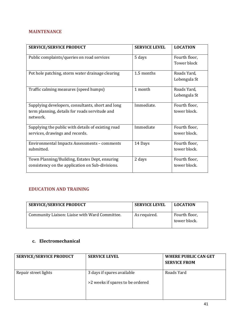#### MAINTENANCE

| <b>SERVICE/SERVICE PRODUCT</b>                                                                                  | <b>SERVICE LEVEL</b> | <b>LOCATION</b>               |
|-----------------------------------------------------------------------------------------------------------------|----------------------|-------------------------------|
| Public complaints/queries on road services                                                                      | 5 days               | Fourth floor,<br>Tower block  |
| Pot hole patching, storm water drainage clearing                                                                | 1.5 months           | Roads Yard,<br>Lobengula St   |
| Traffic calming measures (speed humps)                                                                          | 1 month              | Roads Yard,<br>Lobengula St   |
| Supplying developers, consultants, short and long<br>term planning, details for roads servitude and<br>network. | Immediate.           | Fourth floor,<br>tower block. |
| Supplying the public with details of existing road<br>services, drawings and records.                           | Immediate            | Fourth floor,<br>tower block. |
| Environmental Impacts Assessments - comments<br>submitted.                                                      | 14 Days              | Fourth floor,<br>tower block. |
| Town Planning/Building, Estates Dept, ensuring<br>consistency on the application on Sub-divisions.              | 2 days               | Fourth floor,<br>tower block. |

#### EDUCATION AND TRAINING

| <b>SERVICE/SERVICE PRODUCT</b>                 | <b>SERVICE LEVEL</b> | <b>LOCATION</b>               |
|------------------------------------------------|----------------------|-------------------------------|
| Community Liaison: Liaise with Ward Committee. | As required.         | Fourth floor,<br>tower block. |

## c. Electromechanical

| <b>SERVICE/SERVICE PRODUCT</b> | <b>SERVICE LEVEL</b>                                           | <b>WHERE PUBLIC CAN GET</b><br><b>SERVICE FROM</b> |
|--------------------------------|----------------------------------------------------------------|----------------------------------------------------|
| Repair street lights           | 3 days if spares available<br>>2 weeks if spares to be ordered | Roads Yard                                         |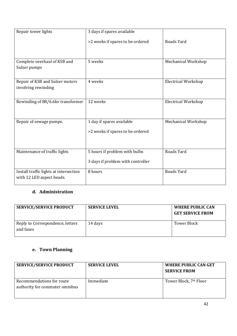| Repair tower lights                    | 3 days if spares available        |                            |
|----------------------------------------|-----------------------------------|----------------------------|
|                                        | >2 weeks if spares to be ordered  | Roads Yard                 |
|                                        |                                   |                            |
|                                        |                                   |                            |
| Complete overhaul of KSB and           | 5 weeks                           | Mechanical Workshop        |
| Sulzer pumps                           |                                   |                            |
|                                        |                                   |                            |
| Repair of KSB and Sulzer motors        | 4 weeks                           | <b>Electrical Workshop</b> |
| involving rewinding                    |                                   |                            |
| Rewinding of 88/6.6kv transformer      | 12 weeks                          | <b>Electrical Workshop</b> |
|                                        |                                   |                            |
|                                        |                                   |                            |
| Repair of sewage pumps.                | 1 day if spares available         | Mechanical Workshop        |
|                                        | >2 weeks if spares to be ordered  |                            |
|                                        |                                   |                            |
|                                        |                                   |                            |
| Maintenance of traffic lights          | 5 hours if problem with bulbs     | Roads Yard                 |
|                                        |                                   |                            |
|                                        | 3 days if problem with controller |                            |
| Install traffic lights at intersection | 8 hours                           | Roads Yard                 |
| with 12 LED aspect heads.              |                                   |                            |
|                                        |                                   |                            |

## d. Administration

| <b>SERVICE/SERVICE PRODUCT</b>                | <b>SERVICE LEVEL</b> | <b>WHERE PUBLIC CAN</b><br><b>GET SERVICE FROM</b> |
|-----------------------------------------------|----------------------|----------------------------------------------------|
| Reply to Correspondence, letters<br>and faxes | 14 days              | Tower Block                                        |

## e. Town Planning

| <b>SERVICE/SERVICE PRODUCT</b>                              | <b>SERVICE LEVEL</b> | <b>WHERE PUBLIC CAN GET</b><br><b>SERVICE FROM</b> |
|-------------------------------------------------------------|----------------------|----------------------------------------------------|
| Recommendations for route<br>authority for commuter omnibus | Immediate            | Tower Block, 7th Floor                             |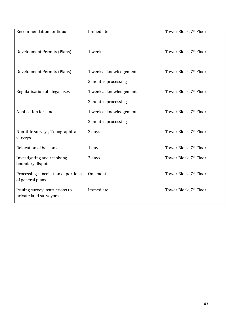| Recommendation for liquor                                | Immediate                                      | Tower Block, 7th Floor |
|----------------------------------------------------------|------------------------------------------------|------------------------|
| Development Permits (Plans)                              | 1 week                                         | Tower Block, 7th Floor |
| Development Permits (Plans)                              | 1 week acknowledgement.<br>3 months processing | Tower Block, 7th Floor |
| Regularisation of illegal uses                           | 1 week acknowledgement<br>3 months processing  | Tower Block, 7th Floor |
| Application for land                                     | 1 week acknowledgement<br>3 months processing  | Tower Block, 7th Floor |
| Non-title surveys, Topographical<br>surveys              | 2 days                                         | Tower Block, 7th Floor |
| <b>Relocation of beacons</b>                             | 1 day                                          | Tower Block, 7th Floor |
| Investigating and resolving<br>boundary disputes         | 2 days                                         | Tower Block, 7th Floor |
| Processing cancellation of portions<br>of general plans  | One month                                      | Tower Block, 7th Floor |
| Issuing survey instructions to<br>private land surveyors | Immediate                                      | Tower Block, 7th Floor |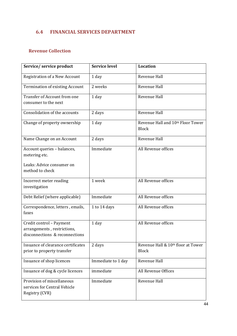## 6.4 FINANCIAL SERVICES DEPARTMENT

#### Revenue Collection

| Service/ service product                                                     | <b>Service level</b> | <b>Location</b>                                   |
|------------------------------------------------------------------------------|----------------------|---------------------------------------------------|
| <b>Registration of a New Account</b>                                         | 1 day                | Revenue Hall                                      |
| <b>Termination of existing Account</b>                                       | 2 weeks              | Revenue Hall                                      |
| Transfer of Account from one                                                 | 1 day                | Revenue Hall                                      |
| consumer to the next                                                         |                      |                                                   |
| Consolidation of the accounts                                                | 2 days               | Revenue Hall                                      |
| Change of property ownership                                                 | 1 day                | Revenue Hall and 10th Floor Tower<br><b>Block</b> |
| Name Change on an Account                                                    | 2 days               | Revenue Hall                                      |
| Account queries - balances,                                                  | Immediate            | All Revenue offices                               |
| metering etc.                                                                |                      |                                                   |
| Leaks: Advice consumer on<br>method to check                                 |                      |                                                   |
|                                                                              |                      |                                                   |
| Incorrect meter reading<br>investigation                                     | 1 week               | All Revenue offices                               |
| Debt Relief (where applicable)                                               | Immediate            | All Revenue offices                               |
| Correspondence, letters, emails,<br>faxes                                    | 1 to 14 days         | All Revenue offices                               |
| Credit control - Payment                                                     | 1 day                | All Revenue offices                               |
| arrangements, restrictions,<br>disconnections & reconnections                |                      |                                                   |
| Issuance of clearance certificates                                           | 2 days               | Revenue Hall & 10th floor at Tower                |
| prior to property transfer                                                   |                      | <b>Block</b>                                      |
| Issuance of shop licences                                                    | Immediate to 1 day   | Revenue Hall                                      |
| Issuance of dog & cycle licences                                             | immediate            | All Revenue Offices                               |
| Provision of miscellaneous<br>services for Central Vehicle<br>Registry (CVR) | Immediate            | Revenue Hall                                      |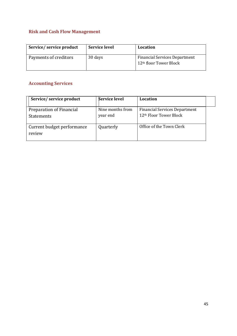## Risk and Cash Flow Management

| Service/service product | <b>Service level</b> | Location                                                                   |
|-------------------------|----------------------|----------------------------------------------------------------------------|
| Payments of creditors   | 30 days              | <b>Financial Services Department</b><br>12 <sup>th</sup> floor Tower Block |

# Accounting Services

| Service/service product                       | <b>Service level</b>         | Location                                                                   |  |
|-----------------------------------------------|------------------------------|----------------------------------------------------------------------------|--|
| Preparation of Financial<br><b>Statements</b> | Nine months from<br>year end | <b>Financial Services Department</b><br>12 <sup>th</sup> Floor Tower Block |  |
| Current budget performance<br>review          | Quarterly                    | Office of the Town Clerk                                                   |  |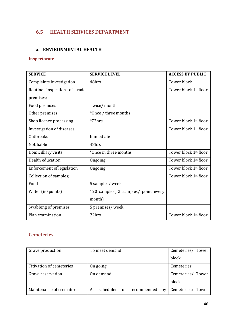## 6.5 HEALTH SERVICES DEPARTMENT

#### a. ENVIRONMENTAL HEALTH

#### Inspectorate

| <b>SERVICE</b>                    | <b>SERVICE LEVEL</b>                 | <b>ACCESS BY PUBLIC</b>           |
|-----------------------------------|--------------------------------------|-----------------------------------|
| Complaints investigation          | 48hrs                                | <b>Tower block</b>                |
| Routine Inspection of trade       |                                      | Tower block 1 <sup>st</sup> floor |
| premises;                         |                                      |                                   |
| Food premises                     | Twice/month                          |                                   |
| Other premises                    | *Once / three months                 |                                   |
| Shop licence processing           | $*72hrs$                             | Tower block 1 <sup>st</sup> floor |
| Investigation of diseases;        |                                      | Tower block 1 <sup>st</sup> floor |
| Outbreaks                         | Immediate                            |                                   |
| Notifiable                        | 48hrs                                |                                   |
| Domicilliary visits               | *Once in three months                | Tower block 1 <sup>st</sup> floor |
| Health education                  | Ongoing                              | Tower block 1 <sup>st</sup> floor |
| <b>Enforcement of legislation</b> | Ongoing                              | Tower block 1 <sup>st</sup> floor |
| Collection of samples;            |                                      | Tower block 1 <sup>st</sup> floor |
| Food                              | 5 samples/ week                      |                                   |
| Water (60 points)                 | 120 samples (2 samples / point every |                                   |
|                                   | month)                               |                                   |
| Swabbing of premises              | 5 premises/week                      |                                   |
| Plan examination                  | 72hrs                                | Tower block 1st floor             |

#### Cemeteries

| Grave production         | To meet demand                    | Cemeteries/ Tower |
|--------------------------|-----------------------------------|-------------------|
|                          |                                   | block             |
| Titivation of cemeteries | On going                          | Cemeteries        |
| Grave reservation        | On demand                         | Cemeteries/ Tower |
|                          |                                   | block             |
| Maintenance of cremator  | scheduled or recommended by<br>As | Cemeteries/ Tower |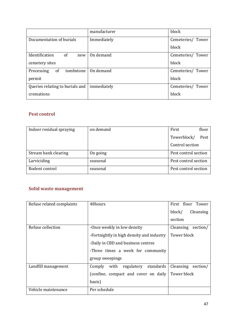|                                 | manufacturer | block             |
|---------------------------------|--------------|-------------------|
| Documentation of burials        | Immediately  | Cemeteries/ Tower |
|                                 |              | block             |
| Identification<br>of<br>new     | On demand    | Cemeteries/ Tower |
| cemetery sites                  |              | block             |
| of<br>tombstone<br>Processing   | On demand    | Cemeteries/ Tower |
| permit                          |              | block             |
| Queries relating to burials and | immediately  | Cemeteries/ Tower |
| cremations                      |              | block             |

#### Pest control

| Indoor residual spraying | on demand | First                | floor |
|--------------------------|-----------|----------------------|-------|
|                          |           | Towerblock/          | Pest  |
|                          |           | Control section      |       |
| Stream bank clearing     | On going  | Pest control section |       |
| Larviciding              | seasonal  | Pest control section |       |
| Rodent control           | seasonal  | Pest control section |       |

#### Solid waste management

| Refuse related complaints | 48hours                                          | First floor Tower     |
|---------------------------|--------------------------------------------------|-----------------------|
|                           |                                                  | block/<br>Cleansing   |
|                           |                                                  | section               |
| Refuse collection         | -Once weekly in low density                      | Cleansing<br>section/ |
|                           | -Fortnightly in high density and industry        | Tower block           |
|                           | -Daily in CBD and business centres               |                       |
|                           | -Three times a week for community                |                       |
|                           | group sweepings                                  |                       |
| Landfill management       | with regulatory standards<br>Comply              | Cleansing<br>section/ |
|                           | (confine, compact and cover on daily Tower block |                       |
|                           | basis)                                           |                       |
| Vehicle maintenance       | Per schedule                                     |                       |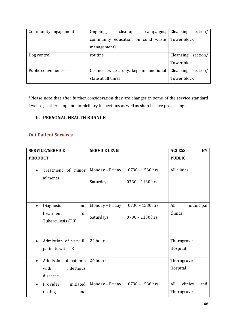| Community engagement | Ongoing(<br>cleanup<br>campaigns,                | Cleansing<br>section/ |
|----------------------|--------------------------------------------------|-----------------------|
|                      | community education on solid waste   Tower block |                       |
|                      | management)                                      |                       |
| Dog control          | routine                                          | Cleansing<br>section/ |
|                      |                                                  | Tower block           |
| Public conveniences  | Cleaned twice a day, kept in functional          | Cleansing<br>section/ |
|                      | state at all times                               | Tower block           |

\*Please note that after further consideration they are changes in some of the service standard levels e.g. other shop and domiciliary inspections as well as shop licence processing.

#### b. PERSONAL HEALTH BRANCH

#### Out Patient Services

| <b>SERVICE/SERVICE</b>                      | <b>SERVICE LEVEL</b>         |                                        | <b>ACCESS</b><br>BY   |
|---------------------------------------------|------------------------------|----------------------------------------|-----------------------|
| <b>PRODUCT</b>                              |                              |                                        | <b>PUBLIC</b>         |
| Treatment of minor<br>$\bullet$<br>ailments | Monday - Friday<br>Saturdays | $0730 - 1530$ hrs<br>$0730 - 1130$ hrs | All clinics           |
| Diagnosis<br>and<br>$\bullet$               | Monday - Friday              | 0730 - 1530 hrs                        | All<br>municipal      |
| of<br>treatment<br>Tuberculosis (TB)        | Saturdays                    | $0730 - 1130$ hrs                      | clinics               |
| Admission of very ill<br>$\bullet$          | 24 hours                     |                                        | Thorngrove            |
| patients with TB                            |                              |                                        | Hospital              |
| Admission of patients<br>$\bullet$          | 24 hours                     |                                        | Thorngrove            |
| with<br>infectious                          |                              |                                        | Hospital              |
| diseases                                    |                              |                                        |                       |
| Provider<br>initiated<br>$\bullet$          | Monday - Friday              | 0730 - 1530 hrs                        | All<br>clinics<br>and |
| testing<br>and                              |                              |                                        | Thorngrove            |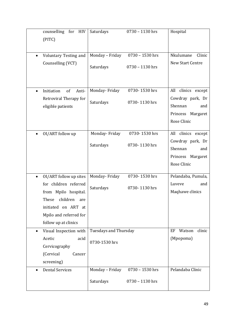| counselling for<br><b>HIV</b><br>(PITC)                                                                                                                                                   | Saturdays                                     | $0730 - 1130$ hrs                  | Hospital                                                                                           |
|-------------------------------------------------------------------------------------------------------------------------------------------------------------------------------------------|-----------------------------------------------|------------------------------------|----------------------------------------------------------------------------------------------------|
| Voluntary Testing and<br>$\bullet$<br>Counselling (VCT)                                                                                                                                   | Monday - Friday<br>Saturdays                  | 0730 - 1530 hrs<br>0730 - 1130 hrs | Nkulumane<br>Clinic<br>New Start Centre                                                            |
| Initiation<br>of<br>Anti-<br>$\bullet$<br>Retroviral Therapy for<br>eligible patients                                                                                                     | Monday-Friday<br>Saturdays                    | 0730-1530 hrs<br>0730-1130 hrs     | clinics<br>All<br>except<br>Cowdray park, Dr<br>Shennan<br>and<br>Princess Margaret<br>Rose Clinic |
| OI/ART follow up<br>$\bullet$                                                                                                                                                             | Monday-Friday<br>Saturdays                    | 0730-1530 hrs<br>0730-1130 hrs     | All clinics except<br>Cowdray park, Dr<br>Shennan<br>and<br>Princess Margaret<br>Rose Clinic       |
| OI/ART follow up sites<br>$\bullet$<br>for children referred<br>from Mpilo hospital.<br>These<br>children<br>are<br>initiated on ART at<br>Mpilo and referred for<br>follow up at clinics | Monday-Friday<br>Saturdays                    | 0730-1530 hrs<br>0730-1130 hrs     | Pelandaba, Pumula,<br>Luveve<br>and<br>Maqhawe clinics                                             |
| Visual Inspection with<br>$\bullet$<br>Acetic<br>acid<br>Cervicography<br>(Cervical<br>Cancer<br>screening)                                                                               | <b>Tuesdays and Thursday</b><br>0730-1530 hrs |                                    | EF<br>Watson<br>clinic<br>(Mpopoma)                                                                |
| <b>Dental Services</b><br>$\bullet$                                                                                                                                                       | Monday - Friday<br>Saturdays                  | 0730 - 1530 hrs<br>0730 - 1130 hrs | Pelandaba Clinic                                                                                   |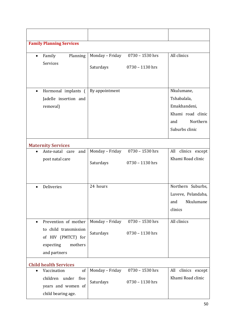| <b>Family Planning Services</b>                                                                                          |                              |                                      |                                                                                                     |
|--------------------------------------------------------------------------------------------------------------------------|------------------------------|--------------------------------------|-----------------------------------------------------------------------------------------------------|
| Family<br>Planning<br>$\bullet$<br>Services                                                                              | Monday - Friday<br>Saturdays | 0730 - 1530 hrs<br>$0730 - 1130$ hrs | All clinics                                                                                         |
| Hormonal implants (<br>$\bullet$<br>Jadelle insertion and<br>removal)                                                    | By appointment               |                                      | Nkulumane,<br>Tshabalala,<br>Emakhandeni,<br>Khami road clinic<br>Northern<br>and<br>Suburbs clinic |
| <b>Maternity Services</b>                                                                                                |                              |                                      |                                                                                                     |
| Ante-natal care<br>and<br>post natal care                                                                                | Monday - Friday<br>Saturdays | 0730 - 1530 hrs<br>0730 - 1130 hrs   | All<br>clinics except<br>Khami Road clinic                                                          |
| Deliveries<br>$\bullet$                                                                                                  | 24 hours                     |                                      | Northern Suburbs,<br>Luveve, Pelandaba,<br>Nkulumane<br>and<br>clinics                              |
| Prevention of mother<br>$\bullet$<br>to child transmission<br>of HIV (PMTCT) for<br>mothers<br>expecting<br>and partners | Monday - Friday<br>Saturdays | $0730 - 1530$ hrs<br>0730 - 1130 hrs | All clinics                                                                                         |
| <b>Child health Services</b>                                                                                             |                              |                                      |                                                                                                     |
| Vaccination<br>of<br>$\bullet$<br>children under five<br>years and women of<br>child bearing age.                        | Monday - Friday<br>Saturdays | 0730 - 1530 hrs<br>$0730 - 1130$ hrs | All clinics except<br>Khami Road clinic                                                             |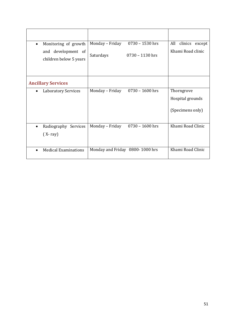| Monitoring of growth<br>$\bullet$            | 0730 - 1530 hrs<br>Monday - Friday   | All<br>clinics<br>except |
|----------------------------------------------|--------------------------------------|--------------------------|
| and development of<br>children below 5 years | Saturdays<br>$0730 - 1130$ hrs       | Khami Road clinic        |
|                                              |                                      |                          |
| <b>Ancillary Services</b>                    |                                      |                          |
| <b>Laboratory Services</b><br>$\bullet$      | Monday - Friday<br>$0730 - 1600$ hrs | Thorngrove               |
|                                              |                                      | Hospital grounds         |
|                                              |                                      | (Specimens only)         |
| Radiography Services<br>$\bullet$            | Monday - Friday<br>$0730 - 1600$ hrs | Khami Road Clinic        |
| $(X-ray)$                                    |                                      |                          |
| <b>Medical Examinations</b><br>$\bullet$     | Monday and Friday 0800-1000 hrs      | Khami Road Clinic        |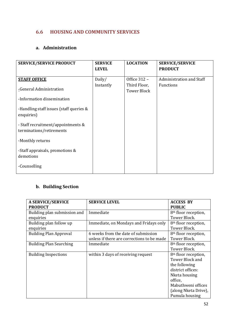#### 6.6 HOUSING AND COMMUNITY SERVICES

#### a. Administration

| <b>SERVICE/SERVICE PRODUCT</b>                                                                                                                                                                                                                                              | <b>SERVICE</b><br><b>LEVEL</b> | <b>LOCATION</b>                                    | <b>SERVICE/SERVICE</b><br><b>PRODUCT</b> |
|-----------------------------------------------------------------------------------------------------------------------------------------------------------------------------------------------------------------------------------------------------------------------------|--------------------------------|----------------------------------------------------|------------------------------------------|
| <b>STAFF OFFICE</b><br>-General Administration<br>-Information dissemination<br>-Handling staff issues (staff queries &<br>enquiries)<br>- Staff recruitment/appointments &<br>terminations/retirements<br>-Monthly returns<br>-Staff appraisals, promotions &<br>demotions | Daily/<br>Instantly            | Office 312 -<br>Third Floor,<br><b>Tower Block</b> | Administration and Staff<br>Functions    |
| -Counselling                                                                                                                                                                                                                                                                |                                |                                                    |                                          |

## b. Building Section

| <b>A SERVICE/SERVICE</b>       | <b>SERVICE LEVEL</b>                       | <b>ACCESS BY</b>                 |
|--------------------------------|--------------------------------------------|----------------------------------|
| <b>PRODUCT</b>                 |                                            | <b>PUBLIC</b>                    |
| Building plan submission and   | Immediate                                  | 8 <sup>th</sup> floor reception, |
| enquiries                      |                                            | Tower Block.                     |
| Building plan follow up        | Immediate, on Mondays and Fridays only     | 8 <sup>th</sup> floor reception, |
| enquiries                      |                                            | Tower Block.                     |
| <b>Building Plan Approval</b>  | 6 weeks from the date of submission        | 8 <sup>th</sup> floor reception, |
|                                | unless if there are corrections to be made | Tower Block.                     |
| <b>Building Plan Searching</b> | Immediate                                  | 8 <sup>th</sup> floor reception, |
|                                |                                            | Tower Block.                     |
| <b>Building Inspections</b>    | within 3 days of receiving request         | 8 <sup>th</sup> floor reception, |
|                                |                                            | <b>Tower Block and</b>           |
|                                |                                            | the following                    |
|                                |                                            | district offices:                |
|                                |                                            | Nketa housing                    |
|                                |                                            | office,                          |
|                                |                                            | Mabuthweni offices               |
|                                |                                            | (along Nketa Drive),             |
|                                |                                            | Pumula housing                   |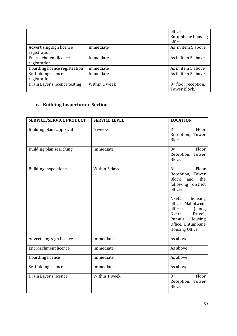|                                          |               | office,<br>Entumbane housing<br>office.          |
|------------------------------------------|---------------|--------------------------------------------------|
| Advertising sign licence<br>registration | immediate     | As in item 5 above                               |
| Encroachment licence<br>registration     | immediate     | As in item 5 above                               |
| Hoarding licence registration            | immediate     | As in item 5 above                               |
| Scaffolding licence<br>registration      | immediate     | As in item 5 above                               |
| Drain Layer's licence testing            | Within 1 week | 8 <sup>th</sup> floor reception,<br>Tower Block. |

## c. Building Inspectorate Section

| <b>SERVICE/SERVICE PRODUCT</b> | <b>SERVICE LEVEL</b> | <b>LOCATION</b>                                                                                                                                                                                                                                          |
|--------------------------------|----------------------|----------------------------------------------------------------------------------------------------------------------------------------------------------------------------------------------------------------------------------------------------------|
| Building plans approval        | 6 weeks              | <b>8th</b><br>Floor<br>Tower<br>Reception,<br><b>Block</b>                                                                                                                                                                                               |
| Building plan searching        | Immediate            | 8 <sup>th</sup><br>Floor<br>Tower<br>Reception,<br><b>Block</b>                                                                                                                                                                                          |
| <b>Building inspections</b>    | Within 3 days        | 8th<br>Floor<br>Reception, Tower<br><b>Block</b><br>and<br>the<br>following<br>district<br>offices:<br>Nketa<br>housing<br>office, Mabutweni<br>offices<br>(along<br>Nketa<br>Drive),<br>Pumula<br>Housing<br>Office, Entumbane<br><b>Housing Office</b> |
| Advertising sign licence       | Immediate            | As above                                                                                                                                                                                                                                                 |
| <b>Encroachment licence</b>    | Immediate            | As above                                                                                                                                                                                                                                                 |
| Hoarding licence               | Immediate            | As above                                                                                                                                                                                                                                                 |
| Scaffolding licence            | Immediate            | As above                                                                                                                                                                                                                                                 |
| Drain Layer's licence          | Within 1 week        | 8 <sup>th</sup><br>Floor<br>Reception,<br>Tower<br><b>Block</b>                                                                                                                                                                                          |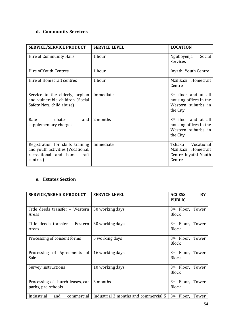## d. Community Services

| <b>SERVICE/SERVICE PRODUCT</b>                                                                                   | <b>SERVICE LEVEL</b> | <b>LOCATION</b>                                                                  |
|------------------------------------------------------------------------------------------------------------------|----------------------|----------------------------------------------------------------------------------|
| Hire of Community Halls                                                                                          | 1 hour               | Social<br>Nguboyenja<br>Services                                                 |
| Hire of Youth Centres                                                                                            | 1 hour               | Inyathi Youth Centre                                                             |
| Hire of Homecraft centres                                                                                        | 1 hour               | Mzilikazi Homecraft<br>Centre                                                    |
| Service to the elderly, orphan<br>and vulnerable children (Social<br>Safety Nets, child abuse)                   | Immediate            | 3rd floor and at all<br>housing offices in the<br>Western suburbs in<br>the City |
| and I<br>rebates<br>Rate<br>supplementary charges                                                                | 2 months             | 3rd floor and at all<br>housing offices in the<br>Western suburbs in<br>the City |
| Registration for skills training<br>and youth activities (Vocational,<br>recreational and home craft<br>centres) | Immediate            | Tshaka<br>Vocational<br>Mzilikazi Homecraft<br>Centre Inyathi Youth<br>Centre    |

#### e. Estates Section

| <b>SERVICE/SERVICE PRODUCT</b>                         | <b>SERVICE LEVEL</b>                 | <b>ACCESS</b><br><b>PUBLIC</b>      | BY |
|--------------------------------------------------------|--------------------------------------|-------------------------------------|----|
| Title deeds transfer - Western<br>Areas                | 30 working days                      | Floor, Tower<br>3rd<br><b>Block</b> |    |
| Title deeds transfer - Eastern<br>Areas                | 30 working days                      | Floor, Tower<br>3rd<br><b>Block</b> |    |
| Processing of consent forms                            | 5 working days                       | 3rd<br>Floor, Tower<br><b>Block</b> |    |
| Processing of Agreements of<br>Sale                    | 16 working days                      | 3rd<br>Floor, Tower<br><b>Block</b> |    |
| Survey instructions                                    | 10 working days                      | 3rd<br>Floor, Tower<br><b>Block</b> |    |
| Processing of church leases, car<br>parks, pre-schools | 3 months                             | 3rd<br>Floor, Tower<br><b>Block</b> |    |
| Industrial<br>commercial<br>and                        | Industrial 3 months and commercial 5 | 3rd<br>Floor, Tower                 |    |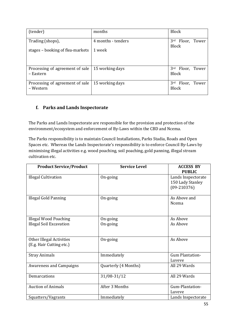| (tender)                                       | months             | <b>Block</b>                                    |
|------------------------------------------------|--------------------|-------------------------------------------------|
| Trading (shops),                               | 4 months - tenders | Floor, Tower<br>3 <sup>rd</sup><br><b>Block</b> |
| stages – booking of flea-markets               | 1 week             |                                                 |
|                                                |                    |                                                 |
| Processing of agreement of sale<br>- Eastern   | 15 working days    | 3rd Floor, Tower<br><b>Block</b>                |
| Processing of agreement of sale  <br>– Western | 15 working days    | Floor, Tower<br>3rd<br><b>Block</b>             |

#### f. Parks and Lands Inspectorate

The Parks and Lands Inspectorate are responsible for the provision and protection of the environment/ecosystem and enforcement of By-Laws within the CBD and Ncema.

The Parks responsibility is to maintain Council Installations, Parks Stadia, Roads and Open Spaces etc. Whereas the Lands Inspectorate's responsibility is to enforce Council By-Laws by minimising illegal activities e.g. wood poaching, soil poaching, gold panning, illegal stream cultivation etc.

| <b>Product Service/Product</b>                              | <b>Service Level</b> | <b>ACCESS BY</b><br><b>PUBLIC</b>                         |
|-------------------------------------------------------------|----------------------|-----------------------------------------------------------|
| <b>Illegal Cultivation</b>                                  | On-going             | Lands Inspectorate<br>150 Lady Stanley<br>$(09 - 210376)$ |
| <b>Illegal Gold Panning</b>                                 | On-going             | As Above and<br>Ncema                                     |
| <b>Illegal Wood Poaching</b>                                | On-going             | As Above                                                  |
| <b>Illegal Soil Excavation</b>                              | On-going             | As Above                                                  |
| <b>Other Illegal Activities</b><br>(E.g. Hair Cutting etc.) | On-going             | As Above                                                  |
| <b>Stray Animals</b>                                        | Immediately          | <b>Gum Plantation-</b><br>Luveve                          |
| <b>Awareness and Campaigns</b>                              | Quarterly (4 Months) | All 29 Wards                                              |
| Demarcations                                                | 31/08-31/12          | All 29 Wards                                              |
| <b>Auction of Animals</b>                                   | After 3 Months       | Gum-Plantation-<br>Luveve                                 |
| Squatters/Vagrants                                          | Immediately          | Lands Inspectorate                                        |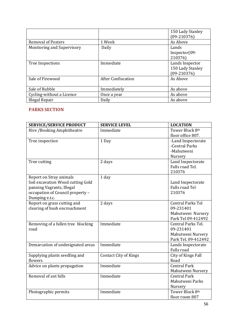|                            |                           | 150 Lady Stanley<br>$(09-210376)$ |
|----------------------------|---------------------------|-----------------------------------|
| <b>Removal of Posters</b>  | 1 Week                    | As Above                          |
| Monitoring and Supervisory | Daily                     | Lands                             |
|                            |                           | $Inspector(09-$                   |
|                            |                           | 210376)                           |
| Tree Inspections           | Immediate                 | Lands Inspector                   |
|                            |                           | 150 Lady Stanley                  |
|                            |                           | $(09-210376)$                     |
| Sale of Firewood           | <b>After Confiscation</b> | As Above                          |
|                            |                           |                                   |
| Sale of Rubble             | Immediately               | As above                          |
| Cycling-without a Licence  | Once a year               | As above                          |
| Illegal Repair             | Daily                     | As above                          |

#### PARKS SECTION

| <b>SERVICE/SERVICE PRODUCT</b>     | <b>SERVICE LEVEL</b>         | <b>LOCATION</b>          |
|------------------------------------|------------------------------|--------------------------|
| Hire /Booking Amphitheatre         | Immediate                    | Tower Block 8th          |
|                                    |                              | floor office 807.        |
| Tree inspection                    | 1 Day                        | -Land Inspectorate       |
|                                    |                              | -Central Parks           |
|                                    |                              | -Mabutweni               |
|                                    |                              | Nursery                  |
| Tree cutting                       | 2 days                       | Land Inspectorate        |
|                                    |                              | Falls road Tel.          |
|                                    |                              | 210376                   |
| Report on Stray animals            | 1 day                        |                          |
| Soil excavation Wood cutting Gold  |                              | Land Inspectorate        |
| panning Vagrants, Illegal          |                              | <b>Falls road Tel</b>    |
| occupation of Council property -   |                              | 210376                   |
| Dumping e.t.c.                     |                              |                          |
| Report on grass cutting and        | 2 days                       | <b>Central Parks Tel</b> |
| clearing of bush encroachment      |                              | 09-231401                |
|                                    |                              | Mabutweni Nursery        |
|                                    |                              | Park Tel 09-412492       |
| Removing of a fallen tree blocking | Immediate                    | Central Parks Tel.       |
| road                               |                              | 09-231401                |
|                                    |                              | Mabutweni Nursery        |
|                                    |                              | Park Tel. 09-412492      |
| Demarcation of undesignated areas  | Immediate                    | Lands Inspectorate       |
|                                    |                              | <b>Falls road</b>        |
| Supplying plants seedling and      | <b>Contact City of Kings</b> | City of Kings Fall       |
| flowers                            |                              | Road                     |
| Advice on plants propagation       | Immediate                    | <b>Central Park</b>      |
|                                    |                              | Mabutweni Nursery        |
| Removal of ant hills               | Immediate                    | <b>Central Park</b>      |
|                                    |                              | Mabutweni Parks          |
|                                    |                              | Nursery                  |
| Photographic permits               | Immediate                    | Tower Block 8th          |
|                                    |                              | floor room 807           |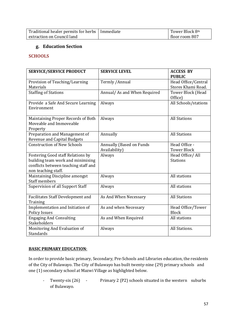| Traditional healer permits for herbs   Immediate | Tower Block 8th |
|--------------------------------------------------|-----------------|
| extraction on Council land                       | floor room 807  |

#### g. Education Section

#### **SCHOOLS**

| <b>SERVICE/SERVICE PRODUCT</b>                                            | <b>SERVICE LEVEL</b>         | <b>ACCESS BY</b>             |
|---------------------------------------------------------------------------|------------------------------|------------------------------|
|                                                                           |                              | <b>PUBLIC</b>                |
| Provision of Teaching/Learning                                            | Termly / Annual              | Head Office/Central          |
| Materials                                                                 |                              | Stores Khami Road.           |
| <b>Staffing of Stations</b>                                               | Annual/ As and When Required | Tower Block (Head<br>Office) |
| Provide a Safe And Secure Learning<br>Environment                         | Always                       | All Schools/stations         |
| Maintaining Proper Records of Both<br>Moveable and Immoveable<br>Property | Always                       | <b>All Stations</b>          |
| Preparation and Management of<br><b>Revenue and Capital Budgets</b>       | Annually                     | <b>All Stations</b>          |
| <b>Construction of New Schools</b>                                        | Annually (Based on Funds     | Head Office -                |
|                                                                           | Availability)                | <b>Tower Block</b>           |
| <b>Fostering Good staff Relations by</b>                                  | Always                       | Head Office/ All             |
| building team work and minimising                                         |                              | <b>Stations</b>              |
| conflicts between teaching staff and                                      |                              |                              |
| non teaching staff.                                                       |                              |                              |
| Maintaining Discipline amongst<br><b>Staff members</b>                    | Always                       | All stations                 |
| Supervision of all Support Staff                                          | Always                       | All stations                 |
| <b>Facilitates Staff Development and</b>                                  | As And When Necessary        | <b>All Stations</b>          |
| Training                                                                  |                              |                              |
| Implementation and Initiation of                                          | As and when Necessary        | Head Office/Tower            |
| <b>Policy Issues</b>                                                      |                              | <b>Block</b>                 |
| <b>Engaging And Consulting</b><br><b>Stakeholders</b>                     | As and When Required         | All stations                 |
| Monitoring And Evaluation of                                              | Always                       | All Stations.                |
| Standards                                                                 |                              |                              |

#### BASIC PRIMARY EDUCATION:

In order to provide basic primary, Secondary, Pre-Schools and Libraries education, the residents of the City of Bulawayo. The City of Bulawayo has built twenty-nine (29) primary schools and one (1) secondary school at Mazwi Village as highlighted below.

- Twenty-six (26) - Primary 2 (P2) schools situated in the western suburbs of Bulawayo.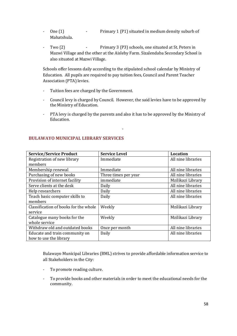- One (1) Primary 1 (P1) situated in medium density suburb of Mahatshula.
- Two (2) Primary 3 (P3) schools, one situated at St. Peters in Mazwi Village and the other at the Aisleby Farm. Sizalendaba Secondary School is also situated at Mazwi Village.

Schools offer lessons daily according to the stipulated school calendar by Ministry of Education. All pupils are required to pay tuition fees, Council and Parent Teacher Association (PTA) levies.

- Tuition fees are charged by the Government.
- Council levy is charged by Council. However, the said levies have to be approved by the Ministry of Education.
- PTA levy is charged by the parents and also it has to be approved by the Ministry of Education.

-

| <b>Service/Service Product</b>        | <b>Service Level</b> | <b>Location</b>    |
|---------------------------------------|----------------------|--------------------|
| Registration of new library           | Immediate            | All nine libraries |
| members                               |                      |                    |
| Membership renewal                    | Immediate            | All nine libraries |
| Purchasing of new books               | Three times per year | All nine libraries |
| Provision of internet facility        | immediate            | Mzilikazi Library  |
| Serve clients at the desk             | Daily                | All nine libraries |
| Help researchers                      | Daily                | All nine libraries |
| Teach basic computer skills to        | Daily                | All nine libraries |
| members                               |                      |                    |
| Classification of books for the whole | Weekly               | Mzilikazi Library  |
| service                               |                      |                    |
| Catalogue many books for the          | Weekly               | Mzilikazi Library  |
| whole service                         |                      |                    |
| Withdraw old and outdated books       | Once per month       | All nine libraries |
| Educate and train community on        | Daily                | All nine libraries |
| how to use the library                |                      |                    |

#### BULAWAYO MUNICIPAL LIBRARY SERVICES

Bulawayo Municipal Libraries (BML) strives to provide affordable information service to all Stakeholders in the City:

- To promote reading culture.
- To provide books and other materials in order to meet the educational needs for the community.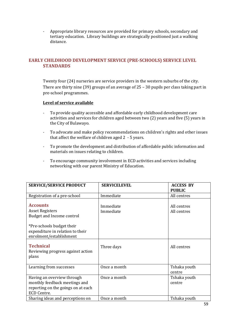- Appropriate library resources are provided for primary schools, secondary and tertiary education. Library buildings are strategically positioned just a walking distance.

#### EARLY CHILDHOOD DEVELOPMENT SERVICE (PRE-SCHOOLS) SERVICE LEVEL **STANDARDS**

Twenty four (24) nurseries are service providers in the western suburbs of the city. There are thirty nine (39) groups of an average of 25 – 30 pupils per class taking part in pre-school programmes.

#### Level of service available

- To provide quality accessible and affordable early childhood development care activities and services for children aged between two (2) years and five (5) years in the City of Bulawayo.
- To advocate and make policy recommendations on children's rights and other issues that affect the welfare of children aged 2 - 5 years.
- To promote the development and distribution of affordable public information and materials on issues relating to children.
- To encourage community involvement in ECD activities and services including networking with our parent Ministry of Education.

| <b>SERVICE/SERVICE PRODUCT</b>                                                                                                                                     | <b>SERVICELEVEL</b>    | <b>ACCESS BY</b>           |
|--------------------------------------------------------------------------------------------------------------------------------------------------------------------|------------------------|----------------------------|
|                                                                                                                                                                    |                        | <b>PUBLIC</b>              |
| Registration of a pre-school                                                                                                                                       | Immediate              | All centres                |
| <b>Accounts</b><br><b>Asset Registers</b><br>Budget and Income control<br>*Pre-schools budget their<br>expenditure in relation to their<br>enrolment/establishment | Immediate<br>Immediate | All centres<br>All centres |
| <b>Technical</b><br>Reviewing progress against action<br>plans                                                                                                     | Three days             | All centres                |
| Learning from successes                                                                                                                                            | Once a month           | Tshaka youth<br>centre     |
| Having an overview through<br>monthly feedback meetings and<br>reporting on the goings on at each<br>ECD Centre.                                                   | Once a month           | Tshaka youth<br>centre     |
| Sharing ideas and perceptions on                                                                                                                                   | Once a month           | Tshaka youth               |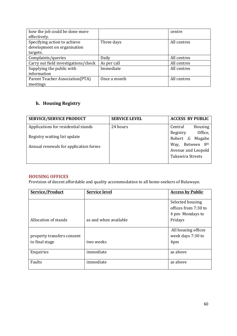| how the job could be done more       |              | centre      |
|--------------------------------------|--------------|-------------|
| effectively.                         |              |             |
| Specifying action to achieve         | Three days   | All centres |
| development on organisation          |              |             |
| targets.                             |              |             |
| Complaints/queries                   | Daily        | All centres |
| Carry out field investigations/check | As per call  | All centres |
| Supplying the public with            | Immediate    | All centres |
| information                          |              |             |
| Parent Teacher Association(PTA)      | Once a month | All centres |
| meetings                             |              |             |

## h. Housing Registry

| <b>SERVICE/SERVICE PRODUCT</b>        | <b>SERVICE LEVEL</b> | <b>ACCESS BY PUBLIC</b> |
|---------------------------------------|----------------------|-------------------------|
| Applications for residential stands   | 24 hours             | Housing<br>Central      |
| Registry waiting list update          |                      | Office,<br>Registry     |
|                                       |                      | Robert .G Mugabe        |
| Annual renewals for application forms |                      | Way, Between 8th        |
|                                       |                      | Avenue and Leopold      |
|                                       |                      | <b>Takawira Streets</b> |
|                                       |                      |                         |

#### HOUSING OFFICES

Provision of decent affordable and quality accommodation to all home-seekers of Bulawayo.

| Service/Product                              | <b>Service level</b>  | <b>Access by Public</b>                                     |
|----------------------------------------------|-----------------------|-------------------------------------------------------------|
|                                              |                       | Selected housing<br>offices from 7:30 to<br>4 pm-Mondays to |
| Allocation of stands                         | as and when available | Fridays                                                     |
| property transfers consent<br>to final stage | two weeks             | All housing offices<br>week days 7:30 to<br>4pm             |
| Enquiries                                    | immediate             | as above                                                    |
| Faults                                       | immediate             | as above                                                    |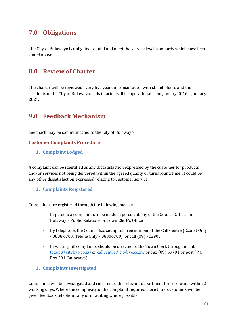## 7.0 Obligations

The City of Bulawayo is obligated to fulfil and meet the service level standards which have been stated above.

## 8.0 Review of Charter

The charter will be reviewed every five years in consultation with stakeholders and the residents of the City of Bulawayo. This Charter will be operational from January 2016 – January 2021.

## 9.0 Feedback Mechanism

Feedback may be communicated to the City of Bulawayo.

#### Customer Complaints Procedure

1. Complaint Lodged

A complaint can be identified as any dissatisfaction expressed by the customer for products and/or services not being delivered within the agreed quality or turnaround time. It could be any other dissatisfaction expressed relating to customer service.

#### 2. Complaints Registered

Complaints are registered through the following means:

- In person: a complaint can be made in person at any of the Council Offices in Bulawayo, Public Relations or Town Clerk's Office.
- By telephone: the Council has set up toll free number at the Call Centre (Econet Only - 0808 4700; Telone Only – 08004700) or call (09) 71290 .
- In writing: all complaints should be directed to the Town Clerk through email: [tcdept@citybyo.co.zw](mailto:tcdept@citybyo.co.zw) or [callcentre@citybyo.co.zw](mailto:callcentre@citybyo.co.zw) or Fax (09) 69701 or post (P O Box 591, Bulawayo).
- 3. Complaints Investigated

Complaints will be investigated and referred to the relevant department for resolution within 2 working days. Where the complexity of the complaint requires more time, customers will be given feedback telephonically or in writing where possible.